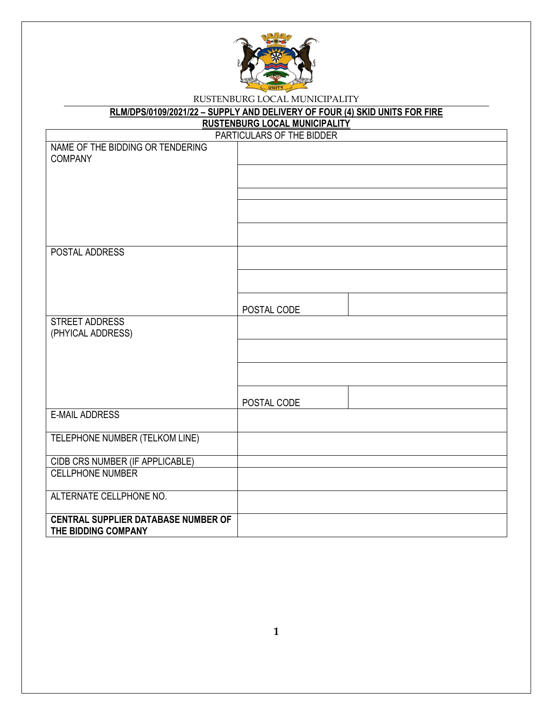

| RLM/DPS/0109/2021/22 - SUPPLY AND DELIVERY OF FOUR (4) SKID UNITS FOR FIRE |             |  |  |  |
|----------------------------------------------------------------------------|-------------|--|--|--|
| <b>RUSTENBURG LOCAL MUNICIPALITY</b>                                       |             |  |  |  |
| PARTICULARS OF THE BIDDER                                                  |             |  |  |  |
| NAME OF THE BIDDING OR TENDERING<br><b>COMPANY</b>                         |             |  |  |  |
|                                                                            |             |  |  |  |
|                                                                            |             |  |  |  |
|                                                                            |             |  |  |  |
|                                                                            |             |  |  |  |
| POSTAL ADDRESS                                                             |             |  |  |  |
|                                                                            |             |  |  |  |
|                                                                            | POSTAL CODE |  |  |  |
| STREET ADDRESS<br>(PHYICAL ADDRESS)                                        |             |  |  |  |
|                                                                            |             |  |  |  |
|                                                                            |             |  |  |  |
|                                                                            | POSTAL CODE |  |  |  |
| <b>E-MAIL ADDRESS</b>                                                      |             |  |  |  |
| TELEPHONE NUMBER (TELKOM LINE)                                             |             |  |  |  |
| CIDB CRS NUMBER (IF APPLICABLE)                                            |             |  |  |  |
| <b>CELLPHONE NUMBER</b>                                                    |             |  |  |  |
| ALTERNATE CELLPHONE NO.                                                    |             |  |  |  |
| <b>CENTRAL SUPPLIER DATABASE NUMBER OF</b><br>THE BIDDING COMPANY          |             |  |  |  |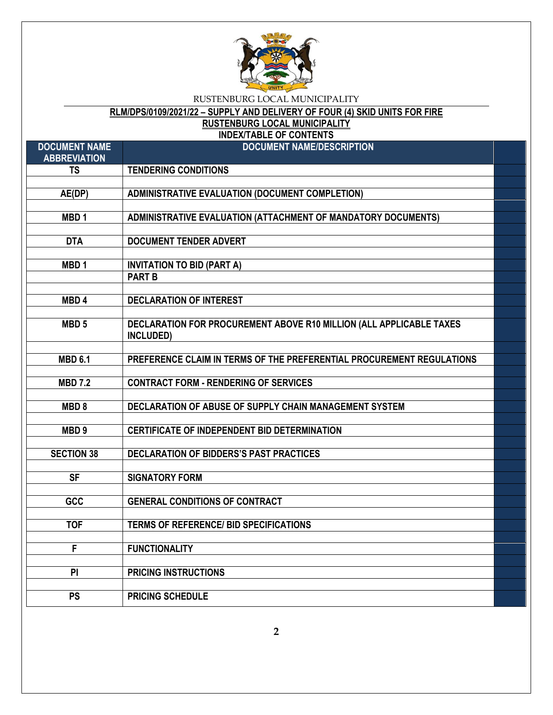

# **RLM/DPS/0109/2021/22 – SUPPLY AND DELIVERY OF FOUR (4) SKID UNITS FOR FIRE**

**RUSTENBURG LOCAL MUNICIPALITY**

**INDEX/TABLE OF CONTENTS**

| <b>DOCUMENT NAME</b><br><b>ABBREVIATION</b> | <b>DOCUMENT NAME/DESCRIPTION</b>                                                 |  |
|---------------------------------------------|----------------------------------------------------------------------------------|--|
| <b>TS</b>                                   | <b>TENDERING CONDITIONS</b>                                                      |  |
|                                             |                                                                                  |  |
| AE(DP)                                      | <b>ADMINISTRATIVE EVALUATION (DOCUMENT COMPLETION)</b>                           |  |
|                                             |                                                                                  |  |
| MBD <sub>1</sub>                            | ADMINISTRATIVE EVALUATION (ATTACHMENT OF MANDATORY DOCUMENTS)                    |  |
|                                             |                                                                                  |  |
| <b>DTA</b>                                  | <b>DOCUMENT TENDER ADVERT</b>                                                    |  |
|                                             |                                                                                  |  |
| MBD <sub>1</sub>                            | <b>INVITATION TO BID (PART A)</b>                                                |  |
|                                             | <b>PART B</b>                                                                    |  |
|                                             |                                                                                  |  |
| MBD <sub>4</sub>                            | <b>DECLARATION OF INTEREST</b>                                                   |  |
|                                             |                                                                                  |  |
| MBD <sub>5</sub>                            | DECLARATION FOR PROCUREMENT ABOVE R10 MILLION (ALL APPLICABLE TAXES<br>INCLUDED) |  |
|                                             |                                                                                  |  |
| <b>MBD 6.1</b>                              | PREFERENCE CLAIM IN TERMS OF THE PREFERENTIAL PROCUREMENT REGULATIONS            |  |
|                                             |                                                                                  |  |
| <b>MBD 7.2</b>                              | <b>CONTRACT FORM - RENDERING OF SERVICES</b>                                     |  |
|                                             |                                                                                  |  |
| MBD <sub>8</sub>                            | DECLARATION OF ABUSE OF SUPPLY CHAIN MANAGEMENT SYSTEM                           |  |
|                                             |                                                                                  |  |
| MBD <sub>9</sub>                            | <b>CERTIFICATE OF INDEPENDENT BID DETERMINATION</b>                              |  |
|                                             |                                                                                  |  |
| <b>SECTION 38</b>                           | <b>DECLARATION OF BIDDERS'S PAST PRACTICES</b>                                   |  |
|                                             |                                                                                  |  |
| <b>SF</b>                                   | <b>SIGNATORY FORM</b>                                                            |  |
|                                             |                                                                                  |  |
| GCC                                         | <b>GENERAL CONDITIONS OF CONTRACT</b>                                            |  |
|                                             |                                                                                  |  |
| <b>TOF</b>                                  | <b>TERMS OF REFERENCE/ BID SPECIFICATIONS</b>                                    |  |
|                                             |                                                                                  |  |
| F                                           | <b>FUNCTIONALITY</b>                                                             |  |
|                                             |                                                                                  |  |
| PI                                          | <b>PRICING INSTRUCTIONS</b>                                                      |  |
|                                             |                                                                                  |  |
| <b>PS</b>                                   | <b>PRICING SCHEDULE</b>                                                          |  |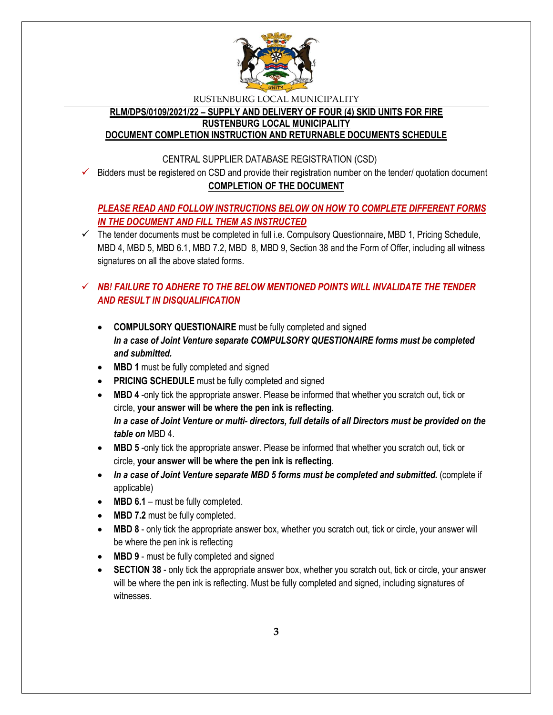

## **RLM/DPS/0109/2021/22 – SUPPLY AND DELIVERY OF FOUR (4) SKID UNITS FOR FIRE RUSTENBURG LOCAL MUNICIPALITY**

## **DOCUMENT COMPLETION INSTRUCTION AND RETURNABLE DOCUMENTS SCHEDULE**

## CENTRAL SUPPLIER DATABASE REGISTRATION (CSD)

 $\checkmark$  Bidders must be registered on CSD and provide their registration number on the tender/ quotation document **COMPLETION OF THE DOCUMENT**

## *PLEASE READ AND FOLLOW INSTRUCTIONS BELOW ON HOW TO COMPLETE DIFFERENT FORMS IN THE DOCUMENT AND FILL THEM AS INSTRUCTED*

 $\checkmark$  The tender documents must be completed in full i.e. Compulsory Questionnaire, MBD 1, Pricing Schedule, MBD 4, MBD 5, MBD 6.1, MBD 7.2, MBD 8, MBD 9, Section 38 and the Form of Offer, including all witness signatures on all the above stated forms.

## $\checkmark$  **NB! FAILURE TO ADHERE TO THE BELOW MENTIONED POINTS WILL INVALIDATE THE TENDER** *AND RESULT IN DISQUALIFICATION*

- **COMPULSORY QUESTIONAIRE** must be fully completed and signed *In a case of Joint Venture separate COMPULSORY QUESTIONAIRE forms must be completed and submitted.*
- MBD 1 must be fully completed and signed
- **PRICING SCHEDULE** must be fully completed and signed
- **MBD 4** -only tick the appropriate answer. Please be informed that whether you scratch out, tick or circle, **your answer will be where the pen ink is reflecting**. *In a case of Joint Venture or multi- directors, full details of all Directors must be provided on the table on* MBD 4.
- **MBD 5** -only tick the appropriate answer. Please be informed that whether you scratch out, tick or circle, **your answer will be where the pen ink is reflecting**.
- In a case of Joint Venture separate MBD 5 forms must be completed and submitted. (complete if applicable)
- MBD 6.1 must be fully completed.
- MBD 7.2 must be fully completed.
- **MBD 8** only tick the appropriate answer box, whether you scratch out, tick or circle, your answer will be where the pen ink is reflecting
- MBD 9 must be fully completed and signed
- **SECTION 38** only tick the appropriate answer box, whether you scratch out, tick or circle, your answer will be where the pen ink is reflecting. Must be fully completed and signed, including signatures of witnesses.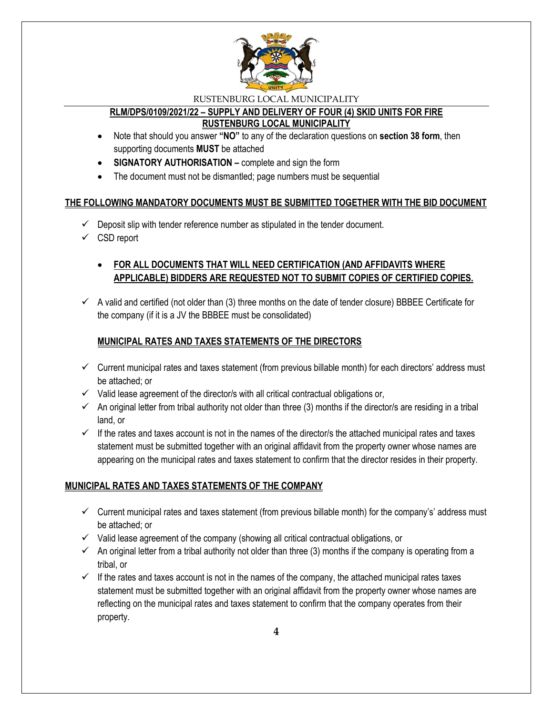

#### **RLM/DPS/0109/2021/22 – SUPPLY AND DELIVERY OF FOUR (4) SKID UNITS FOR FIRE RUSTENBURG LOCAL MUNICIPALITY**

- Note that should you answer **"NO"** to any of the declaration questions on **section 38 form**, then supporting documents **MUST** be attached
- **SIGNATORY AUTHORISATION –** complete and sign the form
- The document must not be dismantled; page numbers must be sequential

## **THE FOLLOWING MANDATORY DOCUMENTS MUST BE SUBMITTED TOGETHER WITH THE BID DOCUMENT**

- $\checkmark$  Deposit slip with tender reference number as stipulated in the tender document.
- $\checkmark$  CSD report

## **FOR ALL DOCUMENTS THAT WILL NEED CERTIFICATION (AND AFFIDAVITS WHERE APPLICABLE) BIDDERS ARE REQUESTED NOT TO SUBMIT COPIES OF CERTIFIED COPIES.**

 $\checkmark$  A valid and certified (not older than (3) three months on the date of tender closure) BBBEE Certificate for the company (if it is a JV the BBBEE must be consolidated)

## **MUNICIPAL RATES AND TAXES STATEMENTS OF THE DIRECTORS**

- $\checkmark$  Current municipal rates and taxes statement (from previous billable month) for each directors' address must be attached; or
- $\checkmark$  Valid lease agreement of the director/s with all critical contractual obligations or,
- $\checkmark$  An original letter from tribal authority not older than three (3) months if the director/s are residing in a tribal land, or
- $\checkmark$  If the rates and taxes account is not in the names of the director/s the attached municipal rates and taxes statement must be submitted together with an original affidavit from the property owner whose names are appearing on the municipal rates and taxes statement to confirm that the director resides in their property.

## **MUNICIPAL RATES AND TAXES STATEMENTS OF THE COMPANY**

- $\checkmark$  Current municipal rates and taxes statement (from previous billable month) for the company's' address must be attached; or
- $\checkmark$  Valid lease agreement of the company (showing all critical contractual obligations, or
- $\checkmark$  An original letter from a tribal authority not older than three (3) months if the company is operating from a tribal, or
- $\checkmark$  If the rates and taxes account is not in the names of the company, the attached municipal rates taxes statement must be submitted together with an original affidavit from the property owner whose names are reflecting on the municipal rates and taxes statement to confirm that the company operates from their property.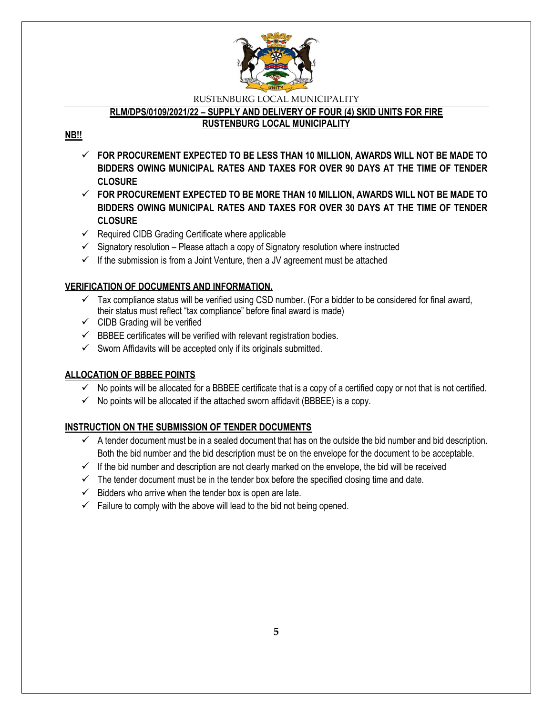

## **RLM/DPS/0109/2021/22 – SUPPLY AND DELIVERY OF FOUR (4) SKID UNITS FOR FIRE**

#### **RUSTENBURG LOCAL MUNICIPALITY**

## **NB!!**

- **FOR PROCUREMENT EXPECTED TO BE LESS THAN 10 MILLION, AWARDS WILL NOT BE MADE TO BIDDERS OWING MUNICIPAL RATES AND TAXES FOR OVER 90 DAYS AT THE TIME OF TENDER CLOSURE**
- **FOR PROCUREMENT EXPECTED TO BE MORE THAN 10 MILLION, AWARDS WILL NOT BE MADE TO BIDDERS OWING MUNICIPAL RATES AND TAXES FOR OVER 30 DAYS AT THE TIME OF TENDER CLOSURE**
- $\checkmark$  Required CIDB Grading Certificate where applicable
- $\checkmark$  Signatory resolution Please attach a copy of Signatory resolution where instructed
- $\checkmark$  If the submission is from a Joint Venture, then a JV agreement must be attached

## **VERIFICATION OF DOCUMENTS AND INFORMATION.**

- $\checkmark$  Tax compliance status will be verified using CSD number. (For a bidder to be considered for final award, their status must reflect "tax compliance" before final award is made)
- $\checkmark$  CIDB Grading will be verified
- $\checkmark$  BBBEE certificates will be verified with relevant registration bodies.
- $\checkmark$  Sworn Affidavits will be accepted only if its originals submitted.

## **ALLOCATION OF BBBEE POINTS**

- $\checkmark$  No points will be allocated for a BBBEE certificate that is a copy of a certified copy or not that is not certified.
- $\checkmark$  No points will be allocated if the attached sworn affidavit (BBBEE) is a copy.

### **INSTRUCTION ON THE SUBMISSION OF TENDER DOCUMENTS**

- $\checkmark$  A tender document must be in a sealed document that has on the outside the bid number and bid description. Both the bid number and the bid description must be on the envelope for the document to be acceptable.
- $\checkmark$  If the bid number and description are not clearly marked on the envelope, the bid will be received
- $\checkmark$  The tender document must be in the tender box before the specified closing time and date.
- $\checkmark$  Bidders who arrive when the tender box is open are late.
- $\checkmark$  Failure to comply with the above will lead to the bid not being opened.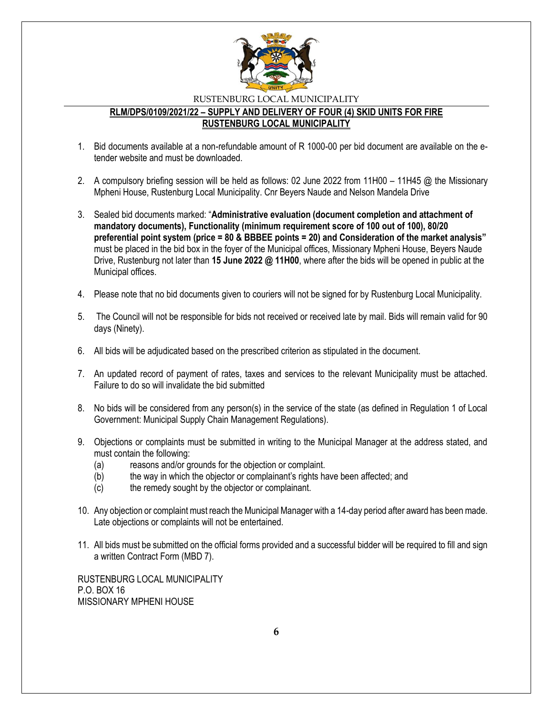

#### **RLM/DPS/0109/2021/22 – SUPPLY AND DELIVERY OF FOUR (4) SKID UNITS FOR FIRE RUSTENBURG LOCAL MUNICIPALITY**

- 1. Bid documents available at a non-refundable amount of R 1000-00 per bid document are available on the etender website and must be downloaded.
- 2. A compulsory briefing session will be held as follows: 02 June 2022 from 11H00 11H45 @ the Missionary Mpheni House, Rustenburg Local Municipality. Cnr Beyers Naude and Nelson Mandela Drive
- 3. Sealed bid documents marked: "**Administrative evaluation (document completion and attachment of mandatory documents), Functionality (minimum requirement score of 100 out of 100), 80/20 preferential point system (price = 80 & BBBEE points = 20) and Consideration of the market analysis"**  must be placed in the bid box in the foyer of the Municipal offices, Missionary Mpheni House, Beyers Naude Drive, Rustenburg not later than **15 June 2022 @ 11H00**, where after the bids will be opened in public at the Municipal offices.
- 4. Please note that no bid documents given to couriers will not be signed for by Rustenburg Local Municipality.
- 5. The Council will not be responsible for bids not received or received late by mail. Bids will remain valid for 90 days (Ninety).
- 6. All bids will be adjudicated based on the prescribed criterion as stipulated in the document.
- 7. An updated record of payment of rates, taxes and services to the relevant Municipality must be attached. Failure to do so will invalidate the bid submitted
- 8. No bids will be considered from any person(s) in the service of the state (as defined in Regulation 1 of Local Government: Municipal Supply Chain Management Regulations).
- 9. Objections or complaints must be submitted in writing to the Municipal Manager at the address stated, and must contain the following:
	- (a) reasons and/or grounds for the objection or complaint.
	- (b) the way in which the objector or complainant's rights have been affected; and
	- (c) the remedy sought by the objector or complainant.
- 10. Any objection or complaint must reach the Municipal Manager with a 14-day period after award has been made. Late objections or complaints will not be entertained.
- 11. All bids must be submitted on the official forms provided and a successful bidder will be required to fill and sign a written Contract Form (MBD 7).

RUSTENBURG LOCAL MUNICIPALITY P.O. BOX 16 MISSIONARY MPHENI HOUSE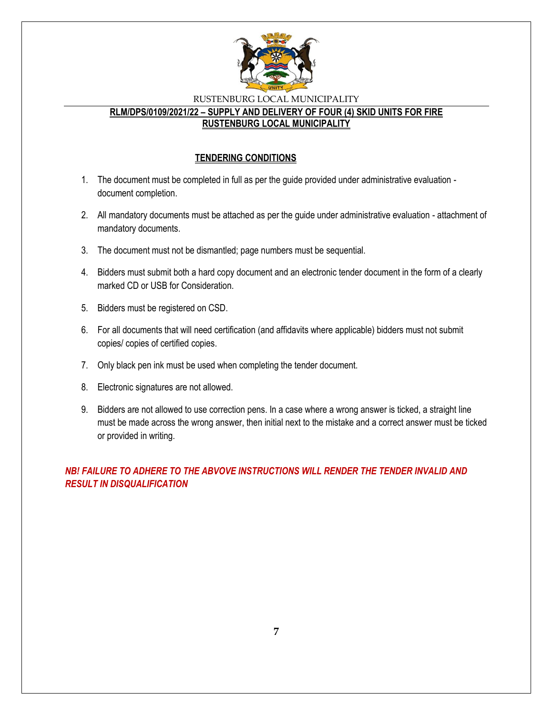

#### **RLM/DPS/0109/2021/22 – SUPPLY AND DELIVERY OF FOUR (4) SKID UNITS FOR FIRE RUSTENBURG LOCAL MUNICIPALITY**

## **TENDERING CONDITIONS**

- 1. The document must be completed in full as per the guide provided under administrative evaluation document completion.
- 2. All mandatory documents must be attached as per the guide under administrative evaluation attachment of mandatory documents.
- 3. The document must not be dismantled; page numbers must be sequential.
- 4. Bidders must submit both a hard copy document and an electronic tender document in the form of a clearly marked CD or USB for Consideration.
- 5. Bidders must be registered on CSD.
- 6. For all documents that will need certification (and affidavits where applicable) bidders must not submit copies/ copies of certified copies.
- 7. Only black pen ink must be used when completing the tender document.
- 8. Electronic signatures are not allowed.
- 9. Bidders are not allowed to use correction pens. In a case where a wrong answer is ticked, a straight line must be made across the wrong answer, then initial next to the mistake and a correct answer must be ticked or provided in writing.

*NB! FAILURE TO ADHERE TO THE ABVOVE INSTRUCTIONS WILL RENDER THE TENDER INVALID AND RESULT IN DISQUALIFICATION*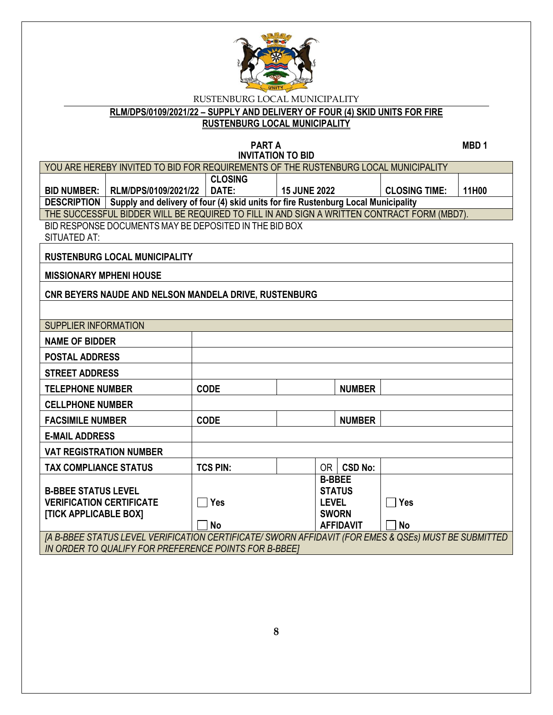

**RLM/DPS/0109/2021/22 – SUPPLY AND DELIVERY OF FOUR (4) SKID UNITS FOR FIRE** 

**RUSTENBURG LOCAL MUNICIPALITY**

#### **PART A** MBD 1 **INVITATION TO BID**

|                                                                 | YOU ARE HEREBY INVITED TO BID FOR REQUIREMENTS OF THE RUSTENBURG LOCAL MUNICIPALITY                  |                 |                     |                              |                  |                      |       |
|-----------------------------------------------------------------|------------------------------------------------------------------------------------------------------|-----------------|---------------------|------------------------------|------------------|----------------------|-------|
|                                                                 | <b>CLOSING</b>                                                                                       |                 |                     |                              |                  |                      |       |
| <b>BID NUMBER:</b>                                              | RLM/DPS/0109/2021/22                                                                                 | DATE:           | <b>15 JUNE 2022</b> |                              |                  | <b>CLOSING TIME:</b> | 11H00 |
| <b>DESCRIPTION</b>                                              | Supply and delivery of four (4) skid units for fire Rustenburg Local Municipality                    |                 |                     |                              |                  |                      |       |
|                                                                 | THE SUCCESSFUL BIDDER WILL BE REQUIRED TO FILL IN AND SIGN A WRITTEN CONTRACT FORM (MBD7).           |                 |                     |                              |                  |                      |       |
|                                                                 | BID RESPONSE DOCUMENTS MAY BE DEPOSITED IN THE BID BOX                                               |                 |                     |                              |                  |                      |       |
| <b>SITUATED AT:</b>                                             |                                                                                                      |                 |                     |                              |                  |                      |       |
|                                                                 | <b>RUSTENBURG LOCAL MUNICIPALITY</b>                                                                 |                 |                     |                              |                  |                      |       |
| <b>MISSIONARY MPHENI HOUSE</b>                                  |                                                                                                      |                 |                     |                              |                  |                      |       |
|                                                                 | CNR BEYERS NAUDE AND NELSON MANDELA DRIVE, RUSTENBURG                                                |                 |                     |                              |                  |                      |       |
|                                                                 |                                                                                                      |                 |                     |                              |                  |                      |       |
| <b>SUPPLIER INFORMATION</b>                                     |                                                                                                      |                 |                     |                              |                  |                      |       |
| <b>NAME OF BIDDER</b>                                           |                                                                                                      |                 |                     |                              |                  |                      |       |
| <b>POSTAL ADDRESS</b>                                           |                                                                                                      |                 |                     |                              |                  |                      |       |
| <b>STREET ADDRESS</b>                                           |                                                                                                      |                 |                     |                              |                  |                      |       |
| <b>TELEPHONE NUMBER</b>                                         |                                                                                                      | <b>CODE</b>     |                     |                              | <b>NUMBER</b>    |                      |       |
| <b>CELLPHONE NUMBER</b>                                         |                                                                                                      |                 |                     |                              |                  |                      |       |
| <b>FACSIMILE NUMBER</b>                                         |                                                                                                      | <b>CODE</b>     |                     |                              | <b>NUMBER</b>    |                      |       |
| <b>E-MAIL ADDRESS</b>                                           |                                                                                                      |                 |                     |                              |                  |                      |       |
| <b>VAT REGISTRATION NUMBER</b>                                  |                                                                                                      |                 |                     |                              |                  |                      |       |
| <b>TAX COMPLIANCE STATUS</b>                                    |                                                                                                      | <b>TCS PIN:</b> |                     |                              | $OR$ $CSD$ No:   |                      |       |
|                                                                 |                                                                                                      |                 |                     | <b>B-BBEE</b>                |                  |                      |       |
| <b>B-BBEE STATUS LEVEL</b>                                      |                                                                                                      |                 |                     | <b>STATUS</b>                |                  |                      |       |
| <b>VERIFICATION CERTIFICATE</b><br><b>[TICK APPLICABLE BOX]</b> |                                                                                                      | $\Box$ Yes      |                     | <b>LEVEL</b><br><b>SWORN</b> |                  | $\Box$ Yes           |       |
|                                                                 |                                                                                                      | <b>No</b>       |                     |                              | <b>AFFIDAVIT</b> | <b>No</b>            |       |
|                                                                 | [A B-BBEE STATUS LEVEL VERIFICATION CERTIFICATE/ SWORN AFFIDAVIT (FOR EMES & QSEs) MUST BE SUBMITTED |                 |                     |                              |                  |                      |       |
|                                                                 | IN ORDER TO QUALIFY FOR PREFERENCE POINTS FOR B-BBEET                                                |                 |                     |                              |                  |                      |       |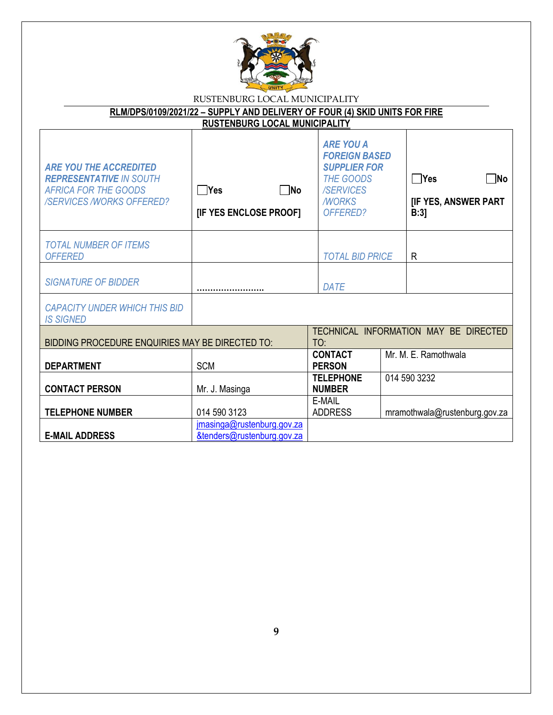

| RLM/DPS/0109/2021/22 - SUPPLY AND DELIVERY OF FOUR (4) SKID UNITS FOR FIRE                                                        |                                                          |                                                                                                                                     |                                                         |  |  |
|-----------------------------------------------------------------------------------------------------------------------------------|----------------------------------------------------------|-------------------------------------------------------------------------------------------------------------------------------------|---------------------------------------------------------|--|--|
| <b>RUSTENBURG LOCAL MUNICIPALITY</b>                                                                                              |                                                          |                                                                                                                                     |                                                         |  |  |
| <b>ARE YOU THE ACCREDITED</b><br><b>REPRESENTATIVE IN SOUTH</b><br><b>AFRICA FOR THE GOODS</b><br><b>/SERVICES/WORKS OFFERED?</b> | $\Box$ Yes<br>$\Box$ No<br>[IF YES ENCLOSE PROOF]        | <b>ARE YOU A</b><br><b>FOREIGN BASED</b><br><b>SUPPLIER FOR</b><br><b>THE GOODS</b><br><b>/SERVICES</b><br><b>MORKS</b><br>OFFERED? | $\Box$ Yes<br>$\n  No\n$<br>[IF YES, ANSWER PART<br>B:3 |  |  |
| <b>TOTAL NUMBER OF ITEMS</b><br><b>OFFERED</b>                                                                                    |                                                          | <b>TOTAL BID PRICE</b>                                                                                                              | R                                                       |  |  |
| <b>SIGNATURE OF BIDDER</b>                                                                                                        |                                                          | <b>DATE</b>                                                                                                                         |                                                         |  |  |
| <b>CAPACITY UNDER WHICH THIS BID</b><br><b>IS SIGNED</b>                                                                          |                                                          |                                                                                                                                     |                                                         |  |  |
| BIDDING PROCEDURE ENQUIRIES MAY BE DIRECTED TO:                                                                                   |                                                          | TO:                                                                                                                                 | TECHNICAL INFORMATION MAY BE DIRECTED                   |  |  |
| <b>DEPARTMENT</b>                                                                                                                 | <b>SCM</b>                                               | <b>CONTACT</b><br><b>PERSON</b>                                                                                                     | Mr. M. E. Ramothwala                                    |  |  |
| <b>CONTACT PERSON</b>                                                                                                             | Mr. J. Masinga                                           | <b>TELEPHONE</b><br><b>NUMBER</b>                                                                                                   | 014 590 3232                                            |  |  |
| <b>TELEPHONE NUMBER</b>                                                                                                           | 014 590 3123                                             | E-MAIL<br><b>ADDRESS</b>                                                                                                            | mramothwala@rustenburg.gov.za                           |  |  |
| <b>E-MAIL ADDRESS</b>                                                                                                             | jmasinga@rustenburg.gov.za<br>&tenders@rustenburg.gov.za |                                                                                                                                     |                                                         |  |  |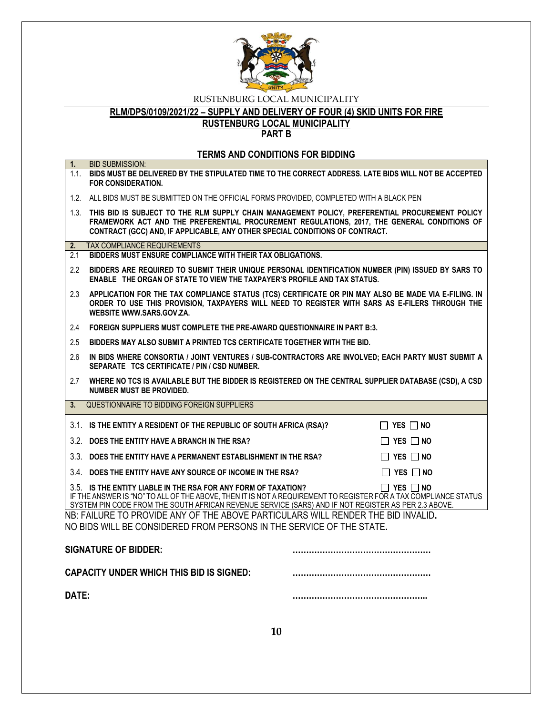

# **RLM/DPS/0109/2021/22 – SUPPLY AND DELIVERY OF FOUR (4) SKID UNITS FOR FIRE**

**RUSTENBURG LOCAL MUNICIPALITY**

**PART B**

#### **TERMS AND CONDITIONS FOR BIDDING**

| 1.    | <b>BID SUBMISSION:</b>                                                                                                                                                                                                                                                                   |                      |
|-------|------------------------------------------------------------------------------------------------------------------------------------------------------------------------------------------------------------------------------------------------------------------------------------------|----------------------|
|       | 1.1. BIDS MUST BE DELIVERED BY THE STIPULATED TIME TO THE CORRECT ADDRESS. LATE BIDS WILL NOT BE ACCEPTED<br><b>FOR CONSIDERATION.</b>                                                                                                                                                   |                      |
|       | 1.2. ALL BIDS MUST BE SUBMITTED ON THE OFFICIAL FORMS PROVIDED, COMPLETED WITH A BLACK PEN                                                                                                                                                                                               |                      |
|       | 1.3. THIS BID IS SUBJECT TO THE RLM SUPPLY CHAIN MANAGEMENT POLICY, PREFERENTIAL PROCUREMENT POLICY<br>FRAMEWORK ACT AND THE PREFERENTIAL PROCUREMENT REGULATIONS, 2017, THE GENERAL CONDITIONS OF<br>CONTRACT (GCC) AND, IF APPLICABLE, ANY OTHER SPECIAL CONDITIONS OF CONTRACT.       |                      |
| 2.    | <b>TAX COMPLIANCE REQUIREMENTS</b>                                                                                                                                                                                                                                                       |                      |
| 2.1   | BIDDERS MUST ENSURE COMPLIANCE WITH THEIR TAX OBLIGATIONS.                                                                                                                                                                                                                               |                      |
| 2.2   | BIDDERS ARE REQUIRED TO SUBMIT THEIR UNIQUE PERSONAL IDENTIFICATION NUMBER (PIN) ISSUED BY SARS TO<br>ENABLE THE ORGAN OF STATE TO VIEW THE TAXPAYER'S PROFILE AND TAX STATUS.                                                                                                           |                      |
| 2.3   | APPLICATION FOR THE TAX COMPLIANCE STATUS (TCS) CERTIFICATE OR PIN MAY ALSO BE MADE VIA E-FILING. IN<br>ORDER TO USE THIS PROVISION, TAXPAYERS WILL NEED TO REGISTER WITH SARS AS E-FILERS THROUGH THE<br>WEBSITE WWW.SARS.GOV.ZA.                                                       |                      |
| 2.4   | FOREIGN SUPPLIERS MUST COMPLETE THE PRE-AWARD QUESTIONNAIRE IN PART B:3.                                                                                                                                                                                                                 |                      |
| 2.5   | BIDDERS MAY ALSO SUBMIT A PRINTED TCS CERTIFICATE TOGETHER WITH THE BID.                                                                                                                                                                                                                 |                      |
| 2.6   | IN BIDS WHERE CONSORTIA / JOINT VENTURES / SUB-CONTRACTORS ARE INVOLVED; EACH PARTY MUST SUBMIT A<br>SEPARATE TCS CERTIFICATE / PIN / CSD NUMBER.                                                                                                                                        |                      |
| 2.7   | WHERE NO TCS IS AVAILABLE BUT THE BIDDER IS REGISTERED ON THE CENTRAL SUPPLIER DATABASE (CSD), A CSD<br>NUMBER MUST BE PROVIDED.                                                                                                                                                         |                      |
| 3.    | QUESTIONNAIRE TO BIDDING FOREIGN SUPPLIERS                                                                                                                                                                                                                                               |                      |
|       | 3.1. IS THE ENTITY A RESIDENT OF THE REPUBLIC OF SOUTH AFRICA (RSA)?                                                                                                                                                                                                                     | $\Box$ Yes $\Box$ No |
|       | 3.2. DOES THE ENTITY HAVE A BRANCH IN THE RSA?                                                                                                                                                                                                                                           | $\Box$ Yes $\Box$ No |
|       | 3.3. DOES THE ENTITY HAVE A PERMANENT ESTABLISHMENT IN THE RSA?                                                                                                                                                                                                                          | $\Box$ YES $\Box$ NO |
|       | 3.4. DOES THE ENTITY HAVE ANY SOURCE OF INCOME IN THE RSA?                                                                                                                                                                                                                               | $\Box$ YES $\Box$ NO |
|       | 3.5. IS THE ENTITY LIABLE IN THE RSA FOR ANY FORM OF TAXATION?<br>IF THE ANSWER IS "NO" TO ALL OF THE ABOVE, THEN IT IS NOT A REQUIREMENT TO REGISTER FOR A TAX COMPLIANCE STATUS<br>SYSTEM PIN CODE FROM THE SOUTH AFRICAN REVENUE SERVICE (SARS) AND IF NOT REGISTER AS PER 2.3 ABOVE. | $\Box$ YES $\Box$ NO |
|       | NB: FAILURE TO PROVIDE ANY OF THE ABOVE PARTICULARS WILL RENDER THE BID INVALID.<br>NO BIDS WILL BE CONSIDERED FROM PERSONS IN THE SERVICE OF THE STATE.                                                                                                                                 |                      |
|       | <b>SIGNATURE OF BIDDER:</b>                                                                                                                                                                                                                                                              |                      |
|       | <b>CAPACITY UNDER WHICH THIS BID IS SIGNED:</b>                                                                                                                                                                                                                                          |                      |
| DATE: |                                                                                                                                                                                                                                                                                          |                      |
|       |                                                                                                                                                                                                                                                                                          |                      |

**10**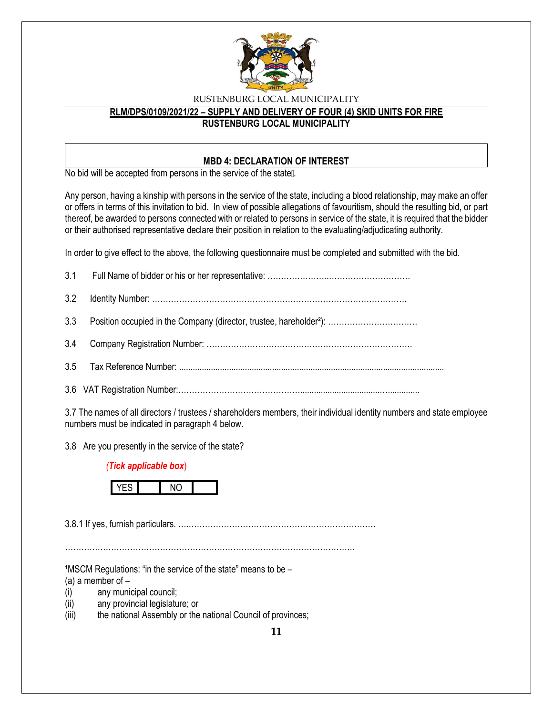

## **RLM/DPS/0109/2021/22 – SUPPLY AND DELIVERY OF FOUR (4) SKID UNITS FOR FIRE RUSTENBURG LOCAL MUNICIPALITY**

#### **MBD 4: DECLARATION OF INTEREST**

No bid will be accepted from persons in the service of the state ...

Any person, having a kinship with persons in the service of the state, including a blood relationship, may make an offer or offers in terms of this invitation to bid. In view of possible allegations of favouritism, should the resulting bid, or part thereof, be awarded to persons connected with or related to persons in service of the state, it is required that the bidder or their authorised representative declare their position in relation to the evaluating/adjudicating authority.

In order to give effect to the above, the following questionnaire must be completed and submitted with the bid.

3.7 The names of all directors / trustees / shareholders members, their individual identity numbers and state employee numbers must be indicated in paragraph 4 below.

3.8 Are you presently in the service of the state?

#### *(Tick applicable box*)



3.8.1 If yes, furnish particulars. ….……………………………………………………………

……………………………………………………………………………………………..

 $1$ MSCM Regulations: "in the service of the state" means to be  $-$ 

(a) a member of  $-$ 

- (i) any municipal council;
- (ii) any provincial legislature; or
- (iii) the national Assembly or the national Council of provinces;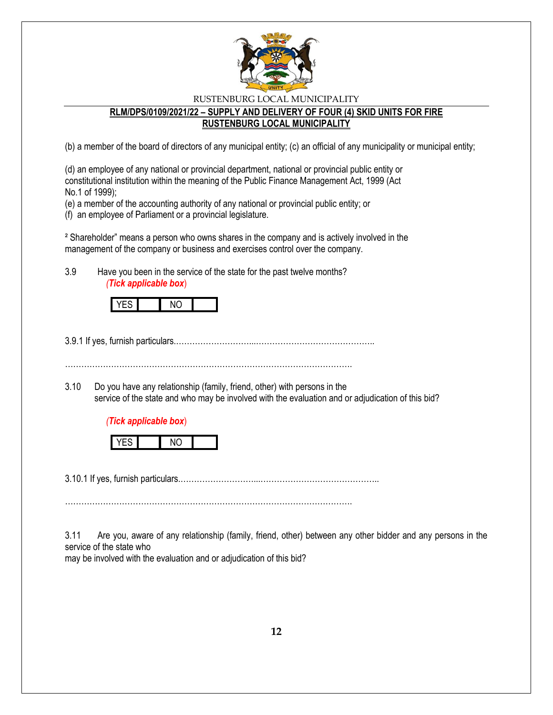

### **RLM/DPS/0109/2021/22 – SUPPLY AND DELIVERY OF FOUR (4) SKID UNITS FOR FIRE RUSTENBURG LOCAL MUNICIPALITY**

(b) a member of the board of directors of any municipal entity; (c) an official of any municipality or municipal entity;

(d) an employee of any national or provincial department, national or provincial public entity or constitutional institution within the meaning of the Public Finance Management Act, 1999 (Act No.1 of 1999);

(e) a member of the accounting authority of any national or provincial public entity; or

(f) an employee of Parliament or a provincial legislature.

² Shareholder" means a person who owns shares in the company and is actively involved in the management of the company or business and exercises control over the company.

3.9 Have you been in the service of the state for the past twelve months? *(Tick applicable box*)

3.9.1 If yes, furnish particulars.………………………...……………………………………..

…………………………………………………………………………………………….

3.10 Do you have any relationship (family, friend, other) with persons in the service of the state and who may be involved with the evaluation and or adjudication of this bid?

### *(Tick applicable box*)



3.10.1 If yes, furnish particulars.………………………...……………………………………..

…………………………………………………………………………………………….

3.11 Are you, aware of any relationship (family, friend, other) between any other bidder and any persons in the service of the state who

may be involved with the evaluation and or adjudication of this bid?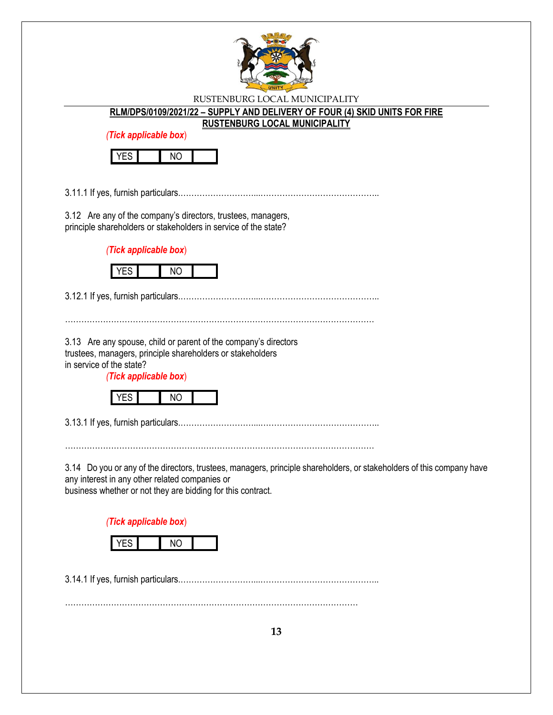

**RLM/DPS/0109/2021/22 – SUPPLY AND DELIVERY OF FOUR (4) SKID UNITS FOR FIRE** 

**RUSTENBURG LOCAL MUNICIPALITY**

*(Tick applicable box*)



3.11.1 If yes, furnish particulars.………………………...……………………………………..

3.12 Are any of the company's directors, trustees, managers, principle shareholders or stakeholders in service of the state?

*(Tick applicable box*)



3.12.1 If yes, furnish particulars.………………………...……………………………………..

……………………………………………………………………………………………………

3.13 Are any spouse, child or parent of the company's directors trustees, managers, principle shareholders or stakeholders in service of the state?

*(Tick applicable box*)



3.13.1 If yes, furnish particulars.………………………...……………………………………..

……………………………………………………………………………………………………

3.14 Do you or any of the directors, trustees, managers, principle shareholders, or stakeholders of this company have any interest in any other related companies or

business whether or not they are bidding for this contract.

*(Tick applicable box*)



3.14.1 If yes, furnish particulars.………………………...……………………………………..

………………………………………………………………………………………………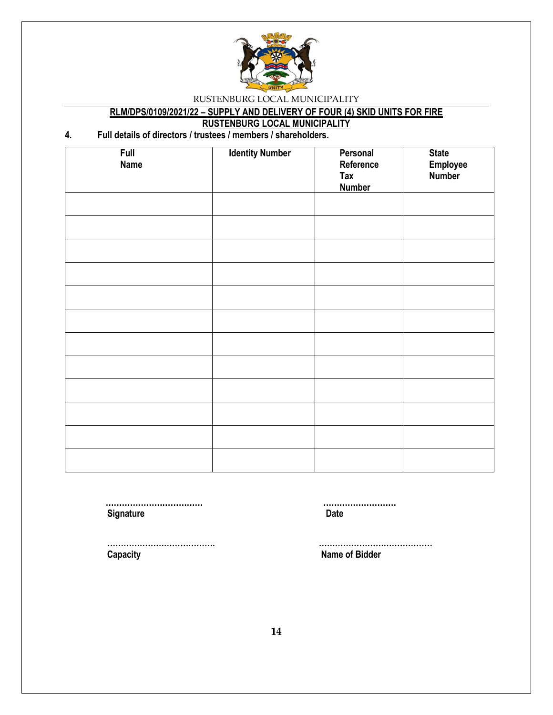

# **RLM/DPS/0109/2021/22 – SUPPLY AND DELIVERY OF FOUR (4) SKID UNITS FOR FIRE**

**RUSTENBURG LOCAL MUNICIPALITY**

## **4. Full details of directors / trustees / members / shareholders.**

| <b>Full</b><br><b>Name</b> | <b>Identity Number</b> | Personal<br>Reference | <b>State</b><br>Employee |
|----------------------------|------------------------|-----------------------|--------------------------|
|                            |                        | Tax<br><b>Number</b>  | <b>Number</b>            |
|                            |                        |                       |                          |
|                            |                        |                       |                          |
|                            |                        |                       |                          |
|                            |                        |                       |                          |
|                            |                        |                       |                          |
|                            |                        |                       |                          |
|                            |                        |                       |                          |
|                            |                        |                       |                          |
|                            |                        |                       |                          |
|                            |                        |                       |                          |
|                            |                        |                       |                          |
|                            |                        |                       |                          |

**Signature Date** 

 **……………………………… ………………………**

 **Capacity Name of Bidder**

 **…………………………………. ……………………………………**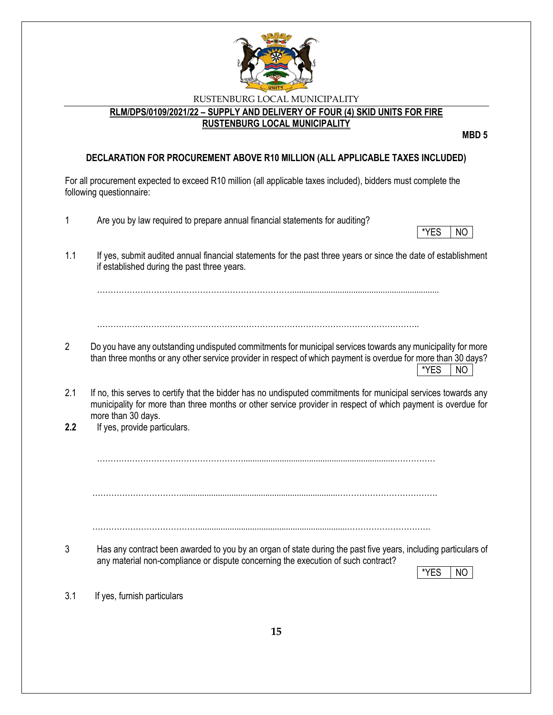

#### **RLM/DPS/0109/2021/22 – SUPPLY AND DELIVERY OF FOUR (4) SKID UNITS FOR FIRE RUSTENBURG LOCAL MUNICIPALITY**

**MBD 5**

#### **DECLARATION FOR PROCUREMENT ABOVE R10 MILLION (ALL APPLICABLE TAXES INCLUDED)**

For all procurement expected to exceed R10 million (all applicable taxes included), bidders must complete the following questionnaire: 1 Are you by law required to prepare annual financial statements for auditing? \*YES | NO 1.1 If yes, submit audited annual financial statements for the past three years or since the date of establishment if established during the past three years. ……………………………………………………………….................................................................  $\mathcal{L}^{\text{max}}_{\text{max}}$ 2 Do you have any outstanding undisputed commitments for municipal services towards any municipality for more than three months or any other service provider in respect of which payment is overdue for more than 30 days? \*YES NO 2.1 If no, this serves to certify that the bidder has no undisputed commitments for municipal services towards any municipality for more than three months or other service provider in respect of which payment is overdue for more than 30 days. **2.2** If yes, provide particulars. ………………………………………………...................................................................…………… …………………………….....................................................................………………………………. …………………………………..................................................................…………………………. 3 Has any contract been awarded to you by an organ of state during the past five years, including particulars of any material non-compliance or dispute concerning the execution of such contract? \*YES NO 3.1 If yes, furnish particulars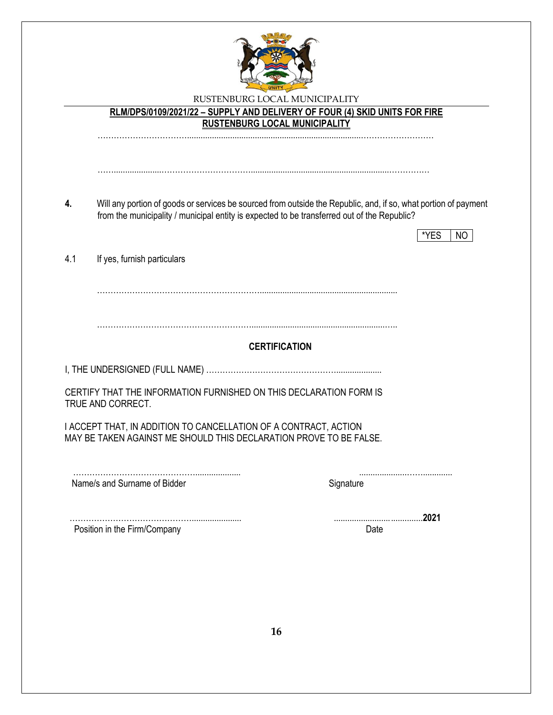

#### **RLM/DPS/0109/2021/22 – SUPPLY AND DELIVERY OF FOUR (4) SKID UNITS FOR FIRE RUSTENBURG LOCAL MUNICIPALITY**

…………………………….............................................................................………………………

**4.** Will any portion of goods or services be sourced from outside the Republic, and, if so, what portion of payment from the municipality / municipal entity is expected to be transferred out of the Republic?

…….....................…………………………….............................................................……………

|                                                                                                                                        |           | *YES<br>N <sub>O</sub> |
|----------------------------------------------------------------------------------------------------------------------------------------|-----------|------------------------|
| 4.1<br>If yes, furnish particulars                                                                                                     |           |                        |
|                                                                                                                                        |           |                        |
|                                                                                                                                        |           |                        |
|                                                                                                                                        |           |                        |
| <b>CERTIFICATION</b>                                                                                                                   |           |                        |
|                                                                                                                                        |           |                        |
| CERTIFY THAT THE INFORMATION FURNISHED ON THIS DECLARATION FORM IS<br>TRUE AND CORRECT.                                                |           |                        |
| I ACCEPT THAT, IN ADDITION TO CANCELLATION OF A CONTRACT, ACTION<br>MAY BE TAKEN AGAINST ME SHOULD THIS DECLARATION PROVE TO BE FALSE. |           |                        |
| Name/s and Surname of Bidder                                                                                                           | Signature |                        |
|                                                                                                                                        |           | 2021                   |
| Position in the Firm/Company                                                                                                           | Date      |                        |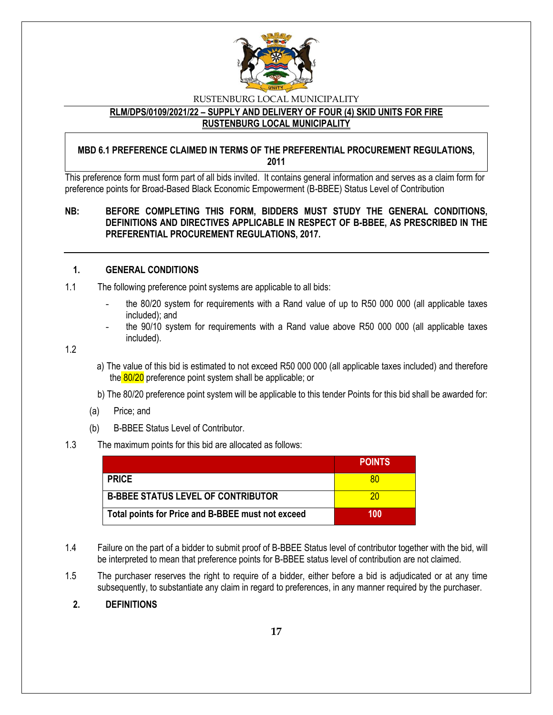

#### **RLM/DPS/0109/2021/22 – SUPPLY AND DELIVERY OF FOUR (4) SKID UNITS FOR FIRE RUSTENBURG LOCAL MUNICIPALITY**

#### **MBD 6.1 PREFERENCE CLAIMED IN TERMS OF THE PREFERENTIAL PROCUREMENT REGULATIONS, 2011**

This preference form must form part of all bids invited. It contains general information and serves as a claim form for preference points for Broad-Based Black Economic Empowerment (B-BBEE) Status Level of Contribution

#### **NB: BEFORE COMPLETING THIS FORM, BIDDERS MUST STUDY THE GENERAL CONDITIONS, DEFINITIONS AND DIRECTIVES APPLICABLE IN RESPECT OF B-BBEE, AS PRESCRIBED IN THE PREFERENTIAL PROCUREMENT REGULATIONS, 2017.**

#### **1. GENERAL CONDITIONS**

- 1.1 The following preference point systems are applicable to all bids:
	- the 80/20 system for requirements with a Rand value of up to R50 000 000 (all applicable taxes included); and
	- the 90/10 system for requirements with a Rand value above R50 000 000 (all applicable taxes included).

1.2

- a) The value of this bid is estimated to not exceed R50 000 000 (all applicable taxes included) and therefore the 80/20 preference point system shall be applicable; or
- b) The 80/20 preference point system will be applicable to this tender Points for this bid shall be awarded for:
- (a) Price; and
- (b) B-BBEE Status Level of Contributor.

#### 1.3 The maximum points for this bid are allocated as follows:

|                                                   | <b>POINTS</b> |
|---------------------------------------------------|---------------|
| <b>PRICE</b>                                      | 80            |
| <b>B-BBEE STATUS LEVEL OF CONTRIBUTOR</b>         | 20            |
| Total points for Price and B-BBEE must not exceed | 100           |

- 1.4 Failure on the part of a bidder to submit proof of B-BBEE Status level of contributor together with the bid, will be interpreted to mean that preference points for B-BBEE status level of contribution are not claimed.
- 1.5 The purchaser reserves the right to require of a bidder, either before a bid is adjudicated or at any time subsequently, to substantiate any claim in regard to preferences, in any manner required by the purchaser.
	- **2. DEFINITIONS**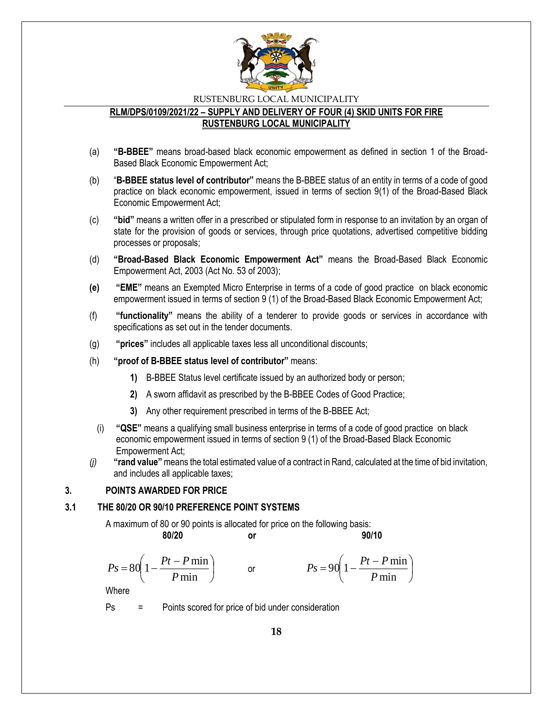

### **RLM/DPS/0109/2021/22 – SUPPLY AND DELIVERY OF FOUR (4) SKID UNITS FOR FIRE RUSTENBURG LOCAL MUNICIPALITY**

- (a) **"B-BBEE"** means broad-based black economic empowerment as defined in section 1 of the Broad-Based Black Economic Empowerment Act;
- (b) "**B-BBEE status level of contributor"** means the B-BBEE status of an entity in terms of a code of good practice on black economic empowerment, issued in terms of section 9(1) of the Broad-Based Black Economic Empowerment Act;
- (c) **"bid"** means a written offer in a prescribed or stipulated form in response to an invitation by an organ of state for the provision of goods or services, through price quotations, advertised competitive bidding processes or proposals;
- (d) **"Broad-Based Black Economic Empowerment Act"** means the Broad-Based Black Economic Empowerment Act, 2003 (Act No. 53 of 2003);
- **(e) "EME"** means an Exempted Micro Enterprise in terms of a code of good practice on black economic empowerment issued in terms of section 9 (1) of the Broad-Based Black Economic Empowerment Act;
- (f) **"functionality"** means the ability of a tenderer to provide goods or services in accordance with specifications as set out in the tender documents.
- (g) **"prices"** includes all applicable taxes less all unconditional discounts;
- (h) **"proof of B-BBEE status level of contributor"** means:
	- **1)** B-BBEE Status level certificate issued by an authorized body or person;
	- **2)** A sworn affidavit as prescribed by the B-BBEE Codes of Good Practice;
	- **3)** Any other requirement prescribed in terms of the B-BBEE Act;
	- (i) **"QSE"** means a qualifying small business enterprise in terms of a code of good practice on black economic empowerment issued in terms of section 9 (1) of the Broad-Based Black Economic Empowerment Act;
- *(j)* **"rand value"**means the total estimated value of a contract in Rand, calculated at the time of bid invitation, and includes all applicable taxes;

#### **3. POINTS AWARDED FOR PRICE**

#### **3.1 THE 80/20 OR 90/10 PREFERENCE POINT SYSTEMS**

A maximum of 80 or 90 points is allocated for price on the following basis:

or

**80/20 or 90/10**

I

$$
Ps = 80 \left( 1 - \frac{Pt - P \min}{P \min} \right)
$$

$$
Ps = 90\left(1 - \frac{Pt - P\min P}{\min}\right)
$$

Where

Ps = Points scored for price of bid under consideration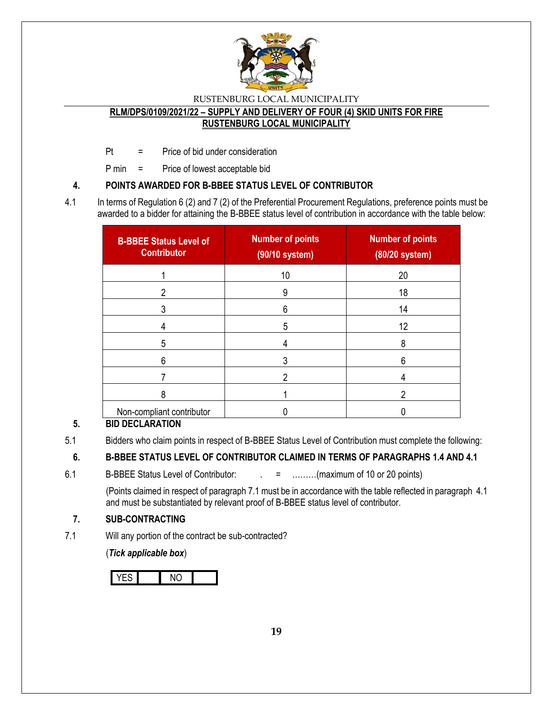

#### **RLM/DPS/0109/2021/22 – SUPPLY AND DELIVERY OF FOUR (4) SKID UNITS FOR FIRE RUSTENBURG LOCAL MUNICIPALITY**

Pt = Price of bid under consideration

P min = Price of lowest acceptable bid

## **4. POINTS AWARDED FOR B-BBEE STATUS LEVEL OF CONTRIBUTOR**

4.1 In terms of Regulation 6 (2) and 7 (2) of the Preferential Procurement Regulations, preference points must be awarded to a bidder for attaining the B-BBEE status level of contribution in accordance with the table below:

| <b>B-BBEE Status Level of</b><br><b>Contributor</b> | <b>Number of points</b><br>(90/10 system) | <b>Number of points</b><br>(80/20 system) |
|-----------------------------------------------------|-------------------------------------------|-------------------------------------------|
|                                                     | 10                                        | 20                                        |
|                                                     | 9                                         | 18                                        |
|                                                     | 6                                         | 14                                        |
|                                                     | 5                                         | 12                                        |
| 5                                                   |                                           | 8                                         |
| 6                                                   |                                           | 6                                         |
|                                                     |                                           |                                           |
| ጸ                                                   |                                           | າ                                         |
| Non-compliant contributor                           |                                           |                                           |

## **5. BID DECLARATION**

5.1 Bidders who claim points in respect of B-BBEE Status Level of Contribution must complete the following:

## **6. B-BBEE STATUS LEVEL OF CONTRIBUTOR CLAIMED IN TERMS OF PARAGRAPHS 1.4 AND 4.1**

6.1 B-BBEE Status Level of Contributor:  $\qquad \qquad = \qquad \qquad \dots \dots \dots (maximum of 10 or 20 points)$ 

(Points claimed in respect of paragraph 7.1 must be in accordance with the table reflected in paragraph 4.1 and must be substantiated by relevant proof of B-BBEE status level of contributor.

### **7. SUB-CONTRACTING**

7.1 Will any portion of the contract be sub-contracted?

(*Tick applicable box*)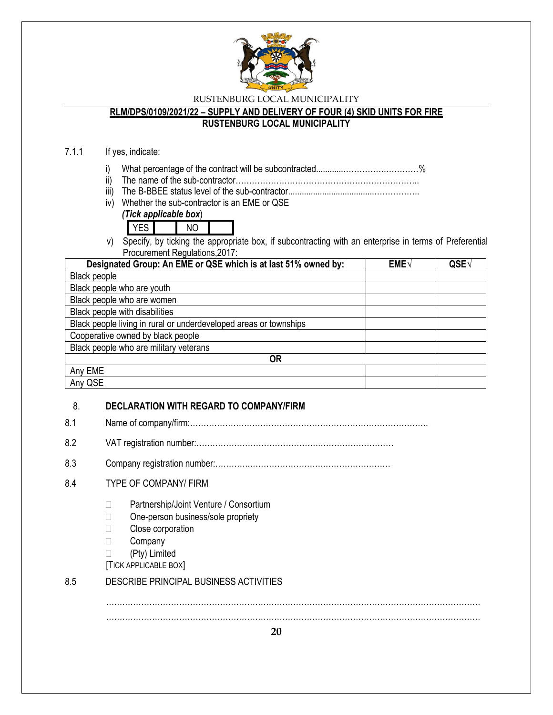

#### **RLM/DPS/0109/2021/22 – SUPPLY AND DELIVERY OF FOUR (4) SKID UNITS FOR FIRE RUSTENBURG LOCAL MUNICIPALITY**

# 7.1.1 If yes, indicate:

- i) What percentage of the contract will be subcontracted............…………….…………%
- ii) The name of the sub-contractor…………………………………………………………..
- iii) The B-BBEE status level of the sub-contractor......................................……………..
- iv) Whether the sub-contractor is an EME or QSE

## *(Tick applicable box*)

- YES NO
- v) Specify, by ticking the appropriate box, if subcontracting with an enterprise in terms of Preferential Procurement Regulations,2017:

| Designated Group: An EME or QSE which is at last 51% owned by:    | $EME\sqrt{}$ | QSE |
|-------------------------------------------------------------------|--------------|-----|
| <b>Black people</b>                                               |              |     |
| Black people who are youth                                        |              |     |
| Black people who are women                                        |              |     |
| Black people with disabilities                                    |              |     |
| Black people living in rural or underdeveloped areas or townships |              |     |
| Cooperative owned by black people                                 |              |     |
| Black people who are military veterans                            |              |     |
| OR                                                                |              |     |
| Any EME                                                           |              |     |
| Any QSE                                                           |              |     |

### 8. **DECLARATION WITH REGARD TO COMPANY/FIRM**

- 8.1 Name of company/firm:…………………………………………………………………………….
- 8.2 VAT registration number:……………………………………….………………………
- 8.3 Company registration number:………….……………………….……………………

## 8.4 TYPE OF COMPANY/ FIRM

- □ Partnership/Joint Venture / Consortium
- □ One-person business/sole propriety
- **Close corporation**
- □ Company
- (Pty) Limited
- [TICK APPLICABLE BOX]

### 8.5 DESCRIBE PRINCIPAL BUSINESS ACTIVITIES

………………………………………………………………………………………………………………………… …………………………………………………………………………………………………………………………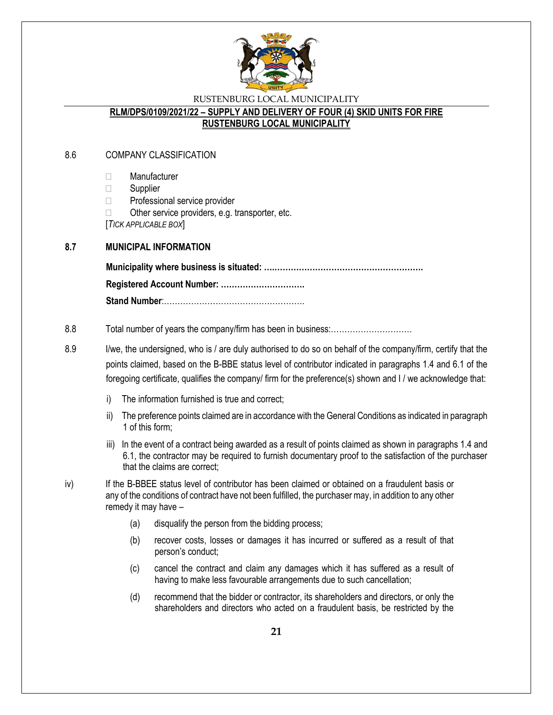

#### **RLM/DPS/0109/2021/22 – SUPPLY AND DELIVERY OF FOUR (4) SKID UNITS FOR FIRE RUSTENBURG LOCAL MUNICIPALITY**

### 8.6 COMPANY CLASSIFICATION

- Manufacturer
- $\Box$  Supplier
- □ Professional service provider
- $\Box$  Other service providers, e.g. transporter, etc.

[*TICK APPLICABLE BOX*]

#### **8.7 MUNICIPAL INFORMATION**

**Municipality where business is situated: ….………………………………………………. Registered Account Number: …………………………. Stand Number**:…………………………………………….

#### 8.8 Total number of years the company/firm has been in business:…………………………

- 8.9 I/we, the undersigned, who is / are duly authorised to do so on behalf of the company/firm, certify that the points claimed, based on the B-BBE status level of contributor indicated in paragraphs 1.4 and 6.1 of the foregoing certificate, qualifies the company/ firm for the preference(s) shown and I / we acknowledge that:
	- i) The information furnished is true and correct;
	- ii) The preference points claimed are in accordance with the General Conditions as indicated in paragraph 1 of this form;
	- iii) In the event of a contract being awarded as a result of points claimed as shown in paragraphs 1.4 and 6.1, the contractor may be required to furnish documentary proof to the satisfaction of the purchaser that the claims are correct;
- iv) If the B-BBEE status level of contributor has been claimed or obtained on a fraudulent basis or any of the conditions of contract have not been fulfilled, the purchaser may, in addition to any other remedy it may have –
	- (a) disqualify the person from the bidding process;
	- (b) recover costs, losses or damages it has incurred or suffered as a result of that person's conduct;
	- (c) cancel the contract and claim any damages which it has suffered as a result of having to make less favourable arrangements due to such cancellation;
	- (d) recommend that the bidder or contractor, its shareholders and directors, or only the shareholders and directors who acted on a fraudulent basis, be restricted by the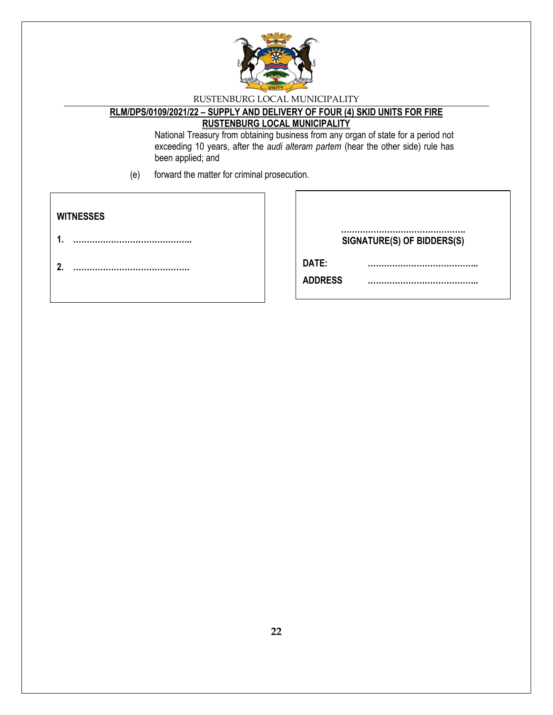

### **RLM/DPS/0109/2021/22 – SUPPLY AND DELIVERY OF FOUR (4) SKID UNITS FOR FIRE RUSTENBURG LOCAL MUNICIPALITY**

National Treasury from obtaining business from any organ of state for a period not exceeding 10 years, after the *audi alteram partem* (hear the other side) rule has been applied; and

(e) forward the matter for criminal prosecution.

| <b>WITNESSES</b> |                            |
|------------------|----------------------------|
|                  | SIGNATURE(S) OF BIDDERS(S) |
|                  | DATE:<br><b>ADDRESS</b>    |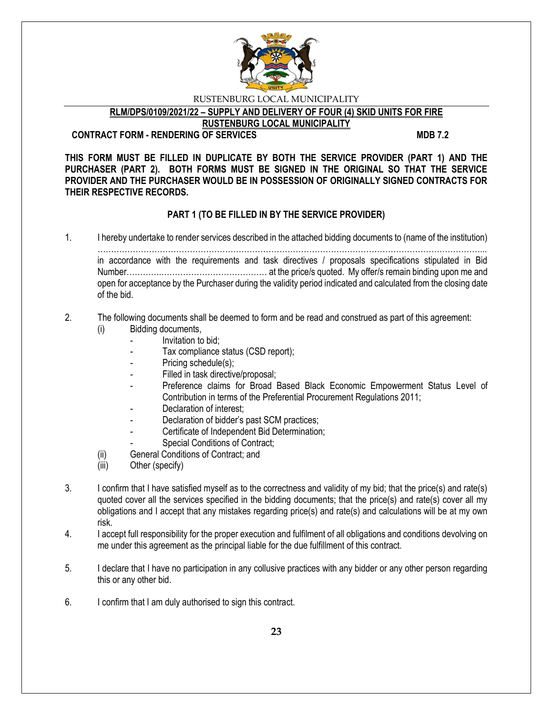

**RLM/DPS/0109/2021/22 – SUPPLY AND DELIVERY OF FOUR (4) SKID UNITS FOR FIRE** 

**RUSTENBURG LOCAL MUNICIPALITY**

#### **CONTRACT FORM - RENDERING OF SERVICES MDB 7.2**

**THIS FORM MUST BE FILLED IN DUPLICATE BY BOTH THE SERVICE PROVIDER (PART 1) AND THE PURCHASER (PART 2). BOTH FORMS MUST BE SIGNED IN THE ORIGINAL SO THAT THE SERVICE PROVIDER AND THE PURCHASER WOULD BE IN POSSESSION OF ORIGINALLY SIGNED CONTRACTS FOR THEIR RESPECTIVE RECORDS.**

## **PART 1 (TO BE FILLED IN BY THE SERVICE PROVIDER)**

1. I hereby undertake to render services described in the attached bidding documents to (name of the institution)

……………………………………………………………………………………………………………………………... in accordance with the requirements and task directives / proposals specifications stipulated in Bid Number………….………………………………… at the price/s quoted. My offer/s remain binding upon me and open for acceptance by the Purchaser during the validity period indicated and calculated from the closing date of the bid.

## 2. The following documents shall be deemed to form and be read and construed as part of this agreement:

- (i) Bidding documents,
	- *-* Invitation to bid;
	- *-* Tax compliance status (CSD report);
	- Pricing schedule(s);
	- Filled in task directive/proposal;
	- Preference claims for Broad Based Black Economic Empowerment Status Level of Contribution in terms of the Preferential Procurement Regulations 2011;
	- *-* Declaration of interest;
	- *-* Declaration of bidder's past SCM practices;
	- *-* Certificate of Independent Bid Determination;
	- **Special Conditions of Contract;**
- (ii) General Conditions of Contract; and
- (iii) Other (specify)
- 3. I confirm that I have satisfied myself as to the correctness and validity of my bid; that the price(s) and rate(s) quoted cover all the services specified in the bidding documents; that the price(s) and rate(s) cover all my obligations and I accept that any mistakes regarding price(s) and rate(s) and calculations will be at my own risk.
- 4. I accept full responsibility for the proper execution and fulfilment of all obligations and conditions devolving on me under this agreement as the principal liable for the due fulfillment of this contract.
- 5. I declare that I have no participation in any collusive practices with any bidder or any other person regarding this or any other bid.
- 6. I confirm that I am duly authorised to sign this contract.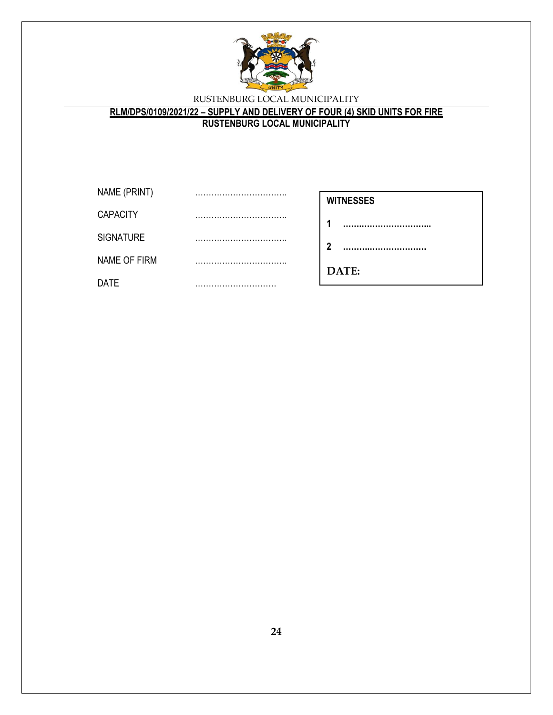

## **RLM/DPS/0109/2021/22 – SUPPLY AND DELIVERY OF FOUR (4) SKID UNITS FOR FIRE RUSTENBURG LOCAL MUNICIPALITY**

| NAME (PRINT)     |  |
|------------------|--|
| <b>CAPACITY</b>  |  |
| <b>SIGNATURE</b> |  |
| NAME OF FIRM     |  |
| DATE             |  |

| <b>WITNESSES</b> |
|------------------|
|------------------|

**1 …….……………………..**

**2 ……….…………………**

**………………………**

**DATE:**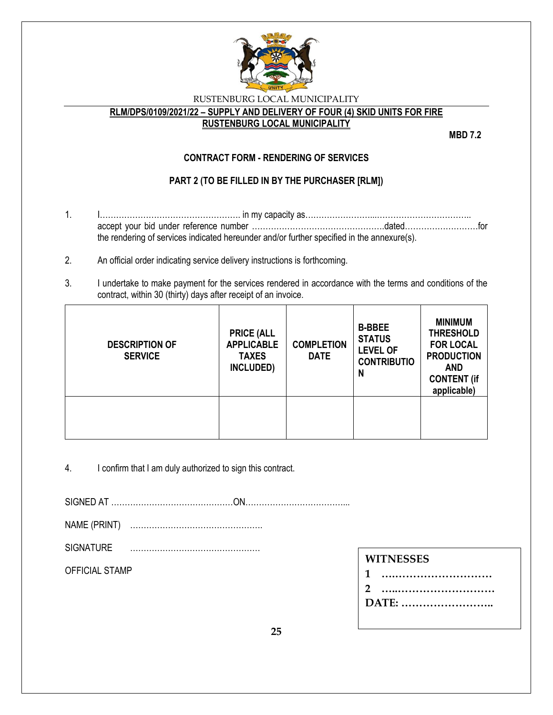

## **RLM/DPS/0109/2021/22 – SUPPLY AND DELIVERY OF FOUR (4) SKID UNITS FOR FIRE**

#### **RUSTENBURG LOCAL MUNICIPALITY**

**MBD 7.2**

## **CONTRACT FORM - RENDERING OF SERVICES**

## **PART 2 (TO BE FILLED IN BY THE PURCHASER [RLM])**

- 1. I……………………………………………. in my capacity as……………………...…………………………….. accept your bid under reference number ………………………………………….dated………………………for the rendering of services indicated hereunder and/or further specified in the annexure(s).
- 2. An official order indicating service delivery instructions is forthcoming.
- 3. I undertake to make payment for the services rendered in accordance with the terms and conditions of the contract, within 30 (thirty) days after receipt of an invoice.

| <b>DESCRIPTION OF</b><br><b>SERVICE</b> | <b>PRICE (ALL</b><br><b>APPLICABLE</b><br><b>TAXES</b><br>INCLUDED) | <b>COMPLETION</b><br><b>DATE</b> | <b>B-BBEE</b><br><b>STATUS</b><br><b>LEVEL OF</b><br><b>CONTRIBUTIO</b><br>N | <b>MINIMUM</b><br><b>THRESHOLD</b><br><b>FOR LOCAL</b><br><b>PRODUCTION</b><br><b>AND</b><br><b>CONTENT (if</b><br>applicable) |
|-----------------------------------------|---------------------------------------------------------------------|----------------------------------|------------------------------------------------------------------------------|--------------------------------------------------------------------------------------------------------------------------------|
|                                         |                                                                     |                                  |                                                                              |                                                                                                                                |

4. I confirm that I am duly authorized to sign this contract.

SIGNED AT ………………………………………ON………………………………...

- NAME (PRINT) ………………………………………….
- SIGNATURE …………………………………………

OFFICIAL STAMP

**DATE: ……………………..**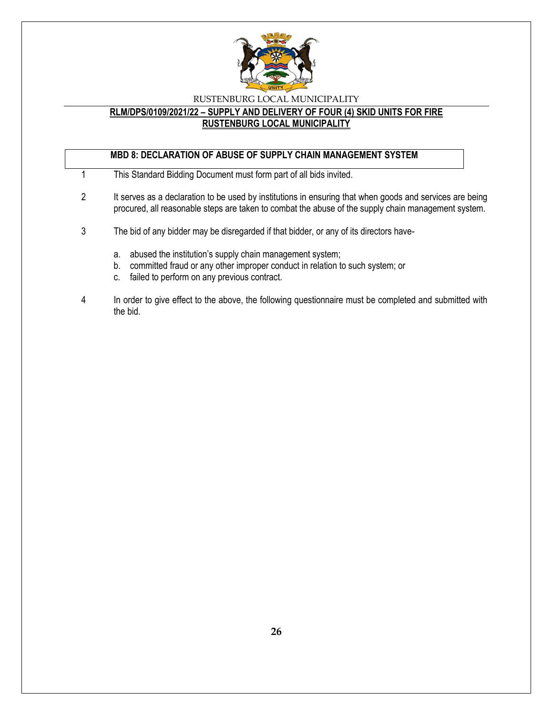

## **RLM/DPS/0109/2021/22 – SUPPLY AND DELIVERY OF FOUR (4) SKID UNITS FOR FIRE RUSTENBURG LOCAL MUNICIPALITY**

## **MBD 8: DECLARATION OF ABUSE OF SUPPLY CHAIN MANAGEMENT SYSTEM**

- 1 This Standard Bidding Document must form part of all bids invited.
- 2 It serves as a declaration to be used by institutions in ensuring that when goods and services are being procured, all reasonable steps are taken to combat the abuse of the supply chain management system.
- 3 The bid of any bidder may be disregarded if that bidder, or any of its directors have
	- a. abused the institution's supply chain management system;
	- b. committed fraud or any other improper conduct in relation to such system; or
	- c. failed to perform on any previous contract.
- 4 In order to give effect to the above, the following questionnaire must be completed and submitted with the bid.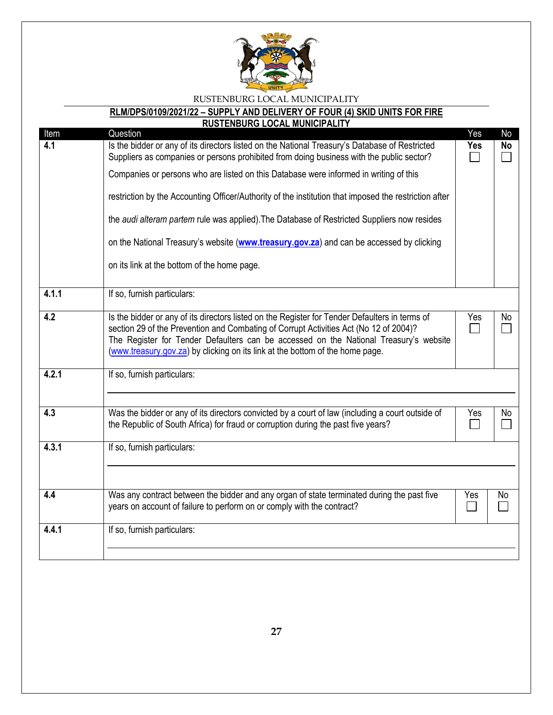

# **RLM/DPS/0109/2021/22 – SUPPLY AND DELIVERY OF FOUR (4) SKID UNITS FOR FIRE**

|             | <b>RUSTENBURG LOCAL MUNICIPALITY</b>                                                                                                                                                                                                                                                                                                                                                                                                                                                                           |                   |                 |
|-------------|----------------------------------------------------------------------------------------------------------------------------------------------------------------------------------------------------------------------------------------------------------------------------------------------------------------------------------------------------------------------------------------------------------------------------------------------------------------------------------------------------------------|-------------------|-----------------|
| Item<br>4.1 | Question<br>Is the bidder or any of its directors listed on the National Treasury's Database of Restricted<br>Suppliers as companies or persons prohibited from doing business with the public sector?<br>Companies or persons who are listed on this Database were informed in writing of this<br>restriction by the Accounting Officer/Authority of the institution that imposed the restriction after<br>the <i>audi alteram partem</i> rule was applied). The Database of Restricted Suppliers now resides | Yes<br><b>Yes</b> | No<br><b>No</b> |
|             | on the National Treasury's website (www.treasury.gov.za) and can be accessed by clicking<br>on its link at the bottom of the home page.                                                                                                                                                                                                                                                                                                                                                                        |                   |                 |
| 4.1.1       | If so, furnish particulars:                                                                                                                                                                                                                                                                                                                                                                                                                                                                                    |                   |                 |
| 4.2         | Is the bidder or any of its directors listed on the Register for Tender Defaulters in terms of<br>section 29 of the Prevention and Combating of Corrupt Activities Act (No 12 of 2004)?<br>The Register for Tender Defaulters can be accessed on the National Treasury's website<br>(www.treasury.gov.za) by clicking on its link at the bottom of the home page.                                                                                                                                              |                   | No              |
| 4.2.1       | If so, furnish particulars:                                                                                                                                                                                                                                                                                                                                                                                                                                                                                    |                   |                 |
| 4.3         | Was the bidder or any of its directors convicted by a court of law (including a court outside of<br>the Republic of South Africa) for fraud or corruption during the past five years?                                                                                                                                                                                                                                                                                                                          |                   | No              |
| 4.3.1       | If so, furnish particulars:                                                                                                                                                                                                                                                                                                                                                                                                                                                                                    |                   |                 |
| 4.4         | Was any contract between the bidder and any organ of state terminated during the past five<br>years on account of failure to perform on or comply with the contract?                                                                                                                                                                                                                                                                                                                                           | Yes               | No              |
| 4.4.1       | If so, furnish particulars:                                                                                                                                                                                                                                                                                                                                                                                                                                                                                    |                   |                 |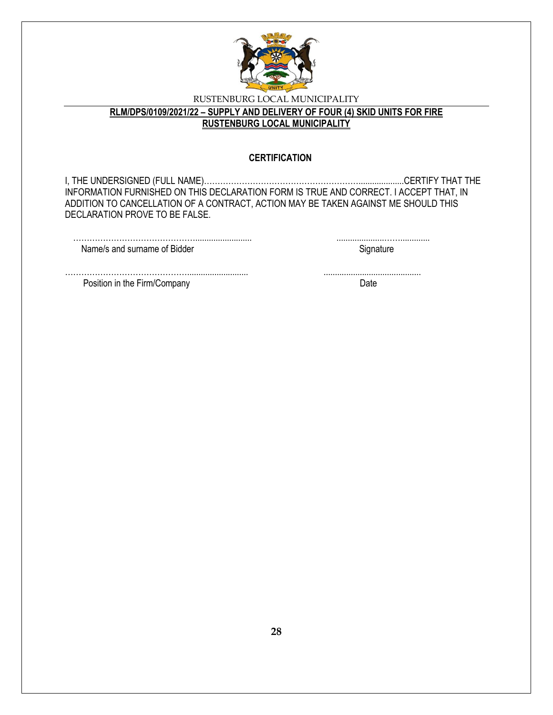

## **RLM/DPS/0109/2021/22 – SUPPLY AND DELIVERY OF FOUR (4) SKID UNITS FOR FIRE RUSTENBURG LOCAL MUNICIPALITY**

#### **CERTIFICATION**

I, THE UNDERSIGNED (FULL NAME)…………………………………………………....................CERTIFY THAT THE INFORMATION FURNISHED ON THIS DECLARATION FORM IS TRUE AND CORRECT. I ACCEPT THAT, IN ADDITION TO CANCELLATION OF A CONTRACT, ACTION MAY BE TAKEN AGAINST ME SHOULD THIS DECLARATION PROVE TO BE FALSE.

| Name/s and surname of Bidder |  |
|------------------------------|--|

………………………………………........................... ........................................... Position in the Firm/Company Date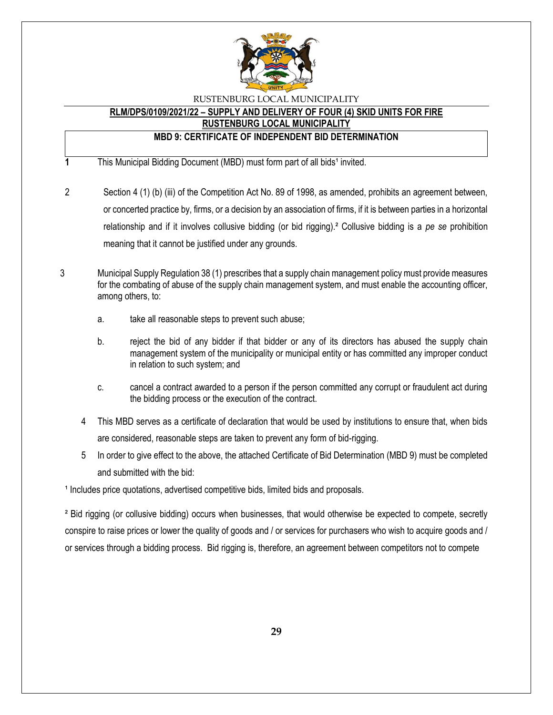

## **RLM/DPS/0109/2021/22 – SUPPLY AND DELIVERY OF FOUR (4) SKID UNITS FOR FIRE**

**RUSTENBURG LOCAL MUNICIPALITY**

## **MBD 9: CERTIFICATE OF INDEPENDENT BID DETERMINATION**

**1** This Municipal Bidding Document (MBD) must form part of all bids<sup>1</sup> invited.

- 2 Section 4 (1) (b) (iii) of the Competition Act No. 89 of 1998, as amended, prohibits an agreement between, or concerted practice by, firms, or a decision by an association of firms, if it is between parties in a horizontal relationship and if it involves collusive bidding (or bid rigging).² Collusive bidding is a *pe se* prohibition meaning that it cannot be justified under any grounds.
- 3 Municipal Supply Regulation 38 (1) prescribes that a supply chain management policy must provide measures for the combating of abuse of the supply chain management system, and must enable the accounting officer, among others, to:
	- a. take all reasonable steps to prevent such abuse;
	- b. reject the bid of any bidder if that bidder or any of its directors has abused the supply chain management system of the municipality or municipal entity or has committed any improper conduct in relation to such system; and
	- c. cancel a contract awarded to a person if the person committed any corrupt or fraudulent act during the bidding process or the execution of the contract.
	- 4 This MBD serves as a certificate of declaration that would be used by institutions to ensure that, when bids are considered, reasonable steps are taken to prevent any form of bid-rigging.
	- 5 In order to give effect to the above, the attached Certificate of Bid Determination (MBD 9) must be completed and submitted with the bid:

<sup>1</sup> Includes price quotations, advertised competitive bids, limited bids and proposals.

² Bid rigging (or collusive bidding) occurs when businesses, that would otherwise be expected to compete, secretly conspire to raise prices or lower the quality of goods and / or services for purchasers who wish to acquire goods and / or services through a bidding process. Bid rigging is, therefore, an agreement between competitors not to compete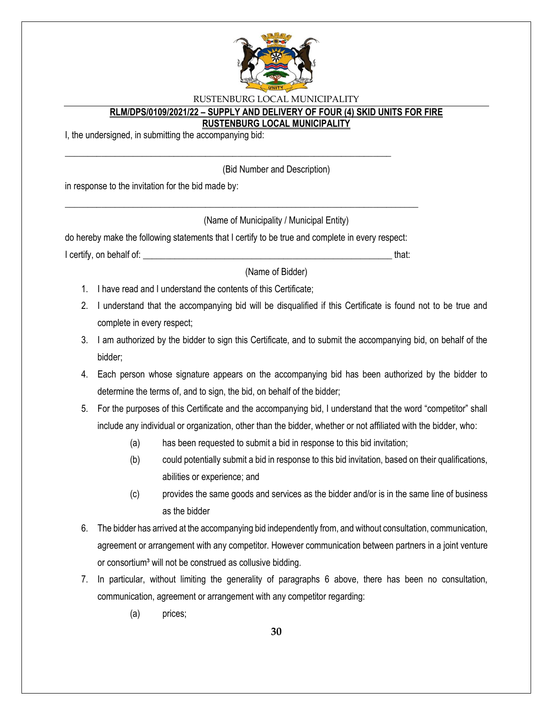

### **RLM/DPS/0109/2021/22 – SUPPLY AND DELIVERY OF FOUR (4) SKID UNITS FOR FIRE**

#### **RUSTENBURG LOCAL MUNICIPALITY**

I, the undersigned, in submitting the accompanying bid:

(Bid Number and Description)

in response to the invitation for the bid made by:

(Name of Municipality / Municipal Entity)

do hereby make the following statements that I certify to be true and complete in every respect: I certify, on behalf of: that:  $\blacksquare$ 

\_\_\_\_\_\_\_\_\_\_\_\_\_\_\_\_\_\_\_\_\_\_\_\_\_\_\_\_\_\_\_\_\_\_\_\_\_\_\_\_\_\_\_\_\_\_\_\_\_\_\_\_\_\_\_\_\_\_\_\_\_\_\_\_\_\_\_\_\_\_\_\_\_\_\_\_\_\_

\_\_\_\_\_\_\_\_\_\_\_\_\_\_\_\_\_\_\_\_\_\_\_\_\_\_\_\_\_\_\_\_\_\_\_\_\_\_\_\_\_\_\_\_\_\_\_\_\_\_\_\_\_\_\_\_\_\_\_\_\_\_\_\_\_\_\_\_\_\_\_\_

(Name of Bidder)

- 1. I have read and I understand the contents of this Certificate;
- 2. I understand that the accompanying bid will be disqualified if this Certificate is found not to be true and complete in every respect;
- 3. I am authorized by the bidder to sign this Certificate, and to submit the accompanying bid, on behalf of the bidder;
- 4. Each person whose signature appears on the accompanying bid has been authorized by the bidder to determine the terms of, and to sign, the bid, on behalf of the bidder;
- 5. For the purposes of this Certificate and the accompanying bid, I understand that the word "competitor" shall include any individual or organization, other than the bidder, whether or not affiliated with the bidder, who:
	- (a) has been requested to submit a bid in response to this bid invitation;
	- (b) could potentially submit a bid in response to this bid invitation, based on their qualifications, abilities or experience; and
	- (c) provides the same goods and services as the bidder and/or is in the same line of business as the bidder
- 6. The bidder has arrived at the accompanying bid independently from, and without consultation, communication, agreement or arrangement with any competitor. However communication between partners in a joint venture or consortium<sup>3</sup> will not be construed as collusive bidding.
- 7. In particular, without limiting the generality of paragraphs 6 above, there has been no consultation, communication, agreement or arrangement with any competitor regarding:
	- (a) prices;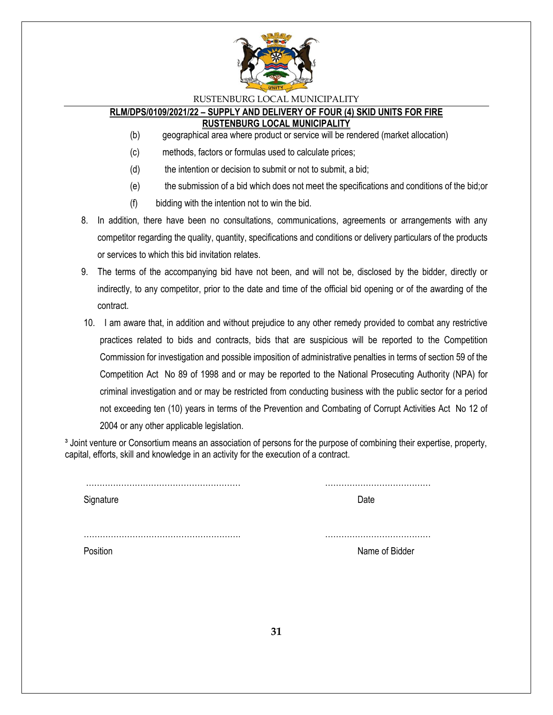

#### **RLM/DPS/0109/2021/22 – SUPPLY AND DELIVERY OF FOUR (4) SKID UNITS FOR FIRE RUSTENBURG LOCAL MUNICIPALITY**

- (b) geographical area where product or service will be rendered (market allocation)
- (c) methods, factors or formulas used to calculate prices;
- (d) the intention or decision to submit or not to submit, a bid;
- (e) the submission of a bid which does not meet the specifications and conditions of the bid;or
- (f) bidding with the intention not to win the bid.
- 8. In addition, there have been no consultations, communications, agreements or arrangements with any competitor regarding the quality, quantity, specifications and conditions or delivery particulars of the products or services to which this bid invitation relates.
- 9. The terms of the accompanying bid have not been, and will not be, disclosed by the bidder, directly or indirectly, to any competitor, prior to the date and time of the official bid opening or of the awarding of the contract.
- 10. I am aware that, in addition and without prejudice to any other remedy provided to combat any restrictive practices related to bids and contracts, bids that are suspicious will be reported to the Competition Commission for investigation and possible imposition of administrative penalties in terms of section 59 of the Competition Act No 89 of 1998 and or may be reported to the National Prosecuting Authority (NPA) for criminal investigation and or may be restricted from conducting business with the public sector for a period not exceeding ten (10) years in terms of the Prevention and Combating of Corrupt Activities Act No 12 of 2004 or any other applicable legislation.

<sup>3</sup> Joint venture or Consortium means an association of persons for the purpose of combining their expertise, property, capital, efforts, skill and knowledge in an activity for the execution of a contract.

| Signature | Date           |
|-----------|----------------|
|           |                |
| Position  | Name of Bidder |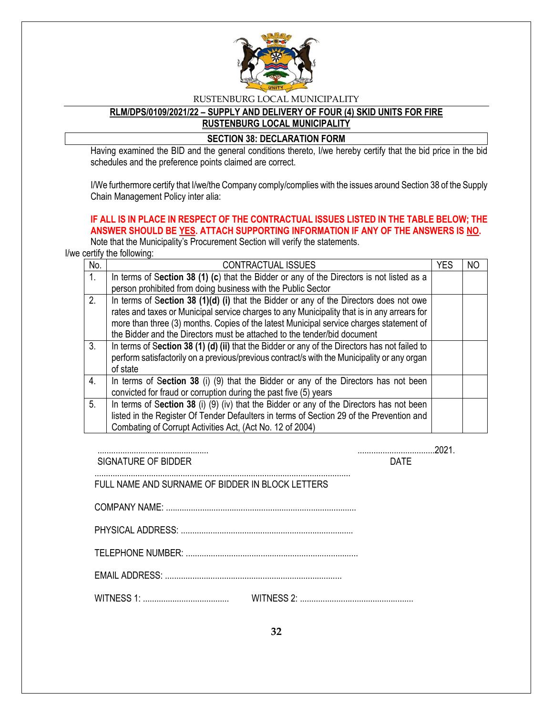

#### **RLM/DPS/0109/2021/22 – SUPPLY AND DELIVERY OF FOUR (4) SKID UNITS FOR FIRE RUSTENBURG LOCAL MUNICIPALITY**

#### **SECTION 38: DECLARATION FORM**

Having examined the BID and the general conditions thereto, I/we hereby certify that the bid price in the bid schedules and the preference points claimed are correct.

I/We furthermore certify that I/we/the Company comply/complies with the issues around Section 38 of the Supply Chain Management Policy inter alia:

## **IF ALL IS IN PLACE IN RESPECT OF THE CONTRACTUAL ISSUES LISTED IN THE TABLE BELOW; THE ANSWER SHOULD BE YES. ATTACH SUPPORTING INFORMATION IF ANY OF THE ANSWERS IS NO.**

Note that the Municipality's Procurement Section will verify the statements.

I/we certify the following:

| No. | <b>CONTRACTUAL ISSUES</b>                                                                     | <b>YES</b> | NO |
|-----|-----------------------------------------------------------------------------------------------|------------|----|
| 1.  | In terms of Section 38 (1) (c) that the Bidder or any of the Directors is not listed as a     |            |    |
|     | person prohibited from doing business with the Public Sector                                  |            |    |
| 2.  | In terms of Section 38 (1)(d) (i) that the Bidder or any of the Directors does not owe        |            |    |
|     | rates and taxes or Municipal service charges to any Municipality that is in any arrears for   |            |    |
|     | more than three (3) months. Copies of the latest Municipal service charges statement of       |            |    |
|     | the Bidder and the Directors must be attached to the tender/bid document                      |            |    |
| 3.  | In terms of Section 38 (1) (d) (ii) that the Bidder or any of the Directors has not failed to |            |    |
|     | perform satisfactorily on a previous/previous contract/s with the Municipality or any organ   |            |    |
|     | of state                                                                                      |            |    |
| 4.  | In terms of Section 38 (i) (9) that the Bidder or any of the Directors has not been           |            |    |
|     | convicted for fraud or corruption during the past five (5) years                              |            |    |
| 5.  | In terms of Section 38 (i) (9) (iv) that the Bidder or any of the Directors has not been      |            |    |
|     | listed in the Register Of Tender Defaulters in terms of Section 29 of the Prevention and      |            |    |
|     | Combating of Corrupt Activities Act, (Act No. 12 of 2004)                                     |            |    |

................................................. ..................................2021. SIGNATURE OF BIDDER DATE

FULL NAME AND SURNAME OF BIDDER IN BLOCK LETTERS

 COMPANY NAME: .................................................................................... PHYSICAL ADDRESS: ............................................................................

.................................................................................................................

TELEPHONE NUMBER: ............................................................................

EMAIL ADDRESS: ..............................................................................

WITNESS 1: ...................................... WITNESS 2: ..................................................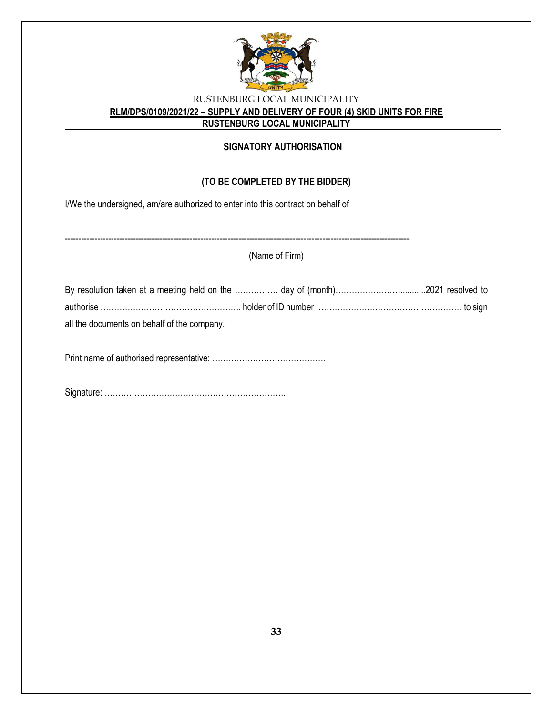

# **RLM/DPS/0109/2021/22 – SUPPLY AND DELIVERY OF FOUR (4) SKID UNITS FOR FIRE**

**RUSTENBURG LOCAL MUNICIPALITY**

## **SIGNATORY AUTHORISATION**

## **(TO BE COMPLETED BY THE BIDDER)**

I/We the undersigned, am/are authorized to enter into this contract on behalf of

|                                             | (Name of Firm) |  |
|---------------------------------------------|----------------|--|
|                                             |                |  |
|                                             |                |  |
| all the documents on behalf of the company. |                |  |
|                                             |                |  |

Signature: ………………………………………………………….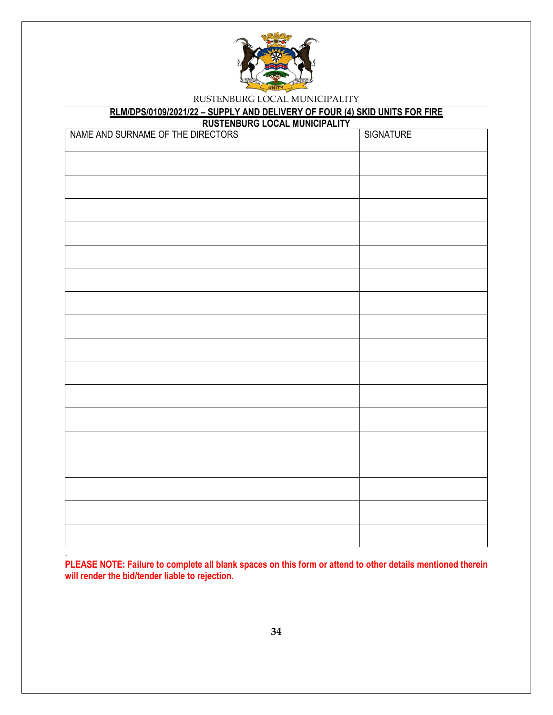

# **RLM/DPS/0109/2021/22 – SUPPLY AND DELIVERY OF FOUR (4) SKID UNITS FOR FIRE**

**RUSTENBURG LOCAL MUNICIPALITY**

| NAME AND SURNAME OF THE DIRECTORS | SIGNATURE |
|-----------------------------------|-----------|
|                                   |           |
|                                   |           |
|                                   |           |
|                                   |           |
|                                   |           |
|                                   |           |
|                                   |           |
|                                   |           |
|                                   |           |
|                                   |           |
|                                   |           |
|                                   |           |
|                                   |           |
|                                   |           |
|                                   |           |
|                                   |           |
|                                   |           |
|                                   |           |

**PLEASE NOTE: Failure to complete all blank spaces on this form or attend to other details mentioned therein will render the bid/tender liable to rejection.**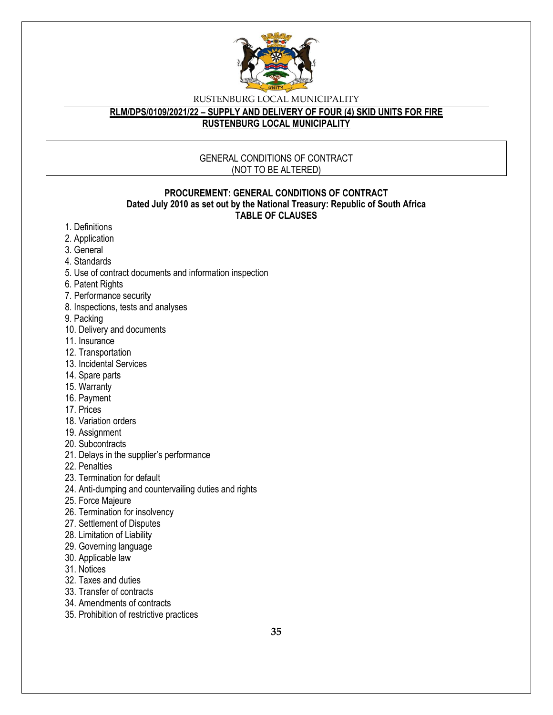

#### **RLM/DPS/0109/2021/22 – SUPPLY AND DELIVERY OF FOUR (4) SKID UNITS FOR FIRE RUSTENBURG LOCAL MUNICIPALITY**

#### GENERAL CONDITIONS OF CONTRACT (NOT TO BE ALTERED)

#### **PROCUREMENT: GENERAL CONDITIONS OF CONTRACT Dated July 2010 as set out by the National Treasury: Republic of South Africa TABLE OF CLAUSES**

- 1. Definitions
- 2. Application
- 3. General
- 4. Standards
- 5. Use of contract documents and information inspection
- 6. Patent Rights
- 7. Performance security
- 8. Inspections, tests and analyses
- 9. Packing
- 10. Delivery and documents
- 11. Insurance
- 12. Transportation
- 13. Incidental Services
- 14. Spare parts
- 15. Warranty
- 16. Payment
- 17. Prices
- 18. Variation orders
- 19. Assignment
- 20. Subcontracts
- 21. Delays in the supplier's performance
- 22. Penalties
- 23. Termination for default
- 24. Anti-dumping and countervailing duties and rights
- 25. Force Majeure
- 26. Termination for insolvency
- 27. Settlement of Disputes
- 28. Limitation of Liability
- 29. Governing language
- 30. Applicable law
- 31. Notices
- 32. Taxes and duties
- 33. Transfer of contracts
- 34. Amendments of contracts
- 35. Prohibition of restrictive practices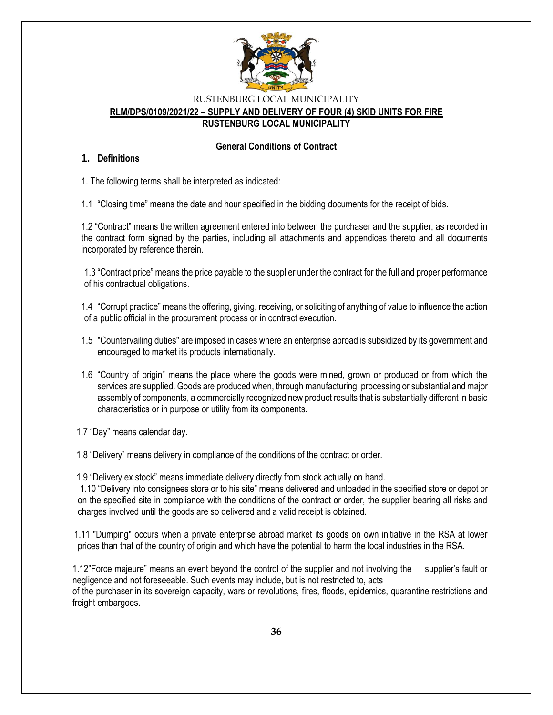

#### **RLM/DPS/0109/2021/22 – SUPPLY AND DELIVERY OF FOUR (4) SKID UNITS FOR FIRE RUSTENBURG LOCAL MUNICIPALITY**

#### **General Conditions of Contract**

#### **1. Definitions**

1. The following terms shall be interpreted as indicated:

1.1 "Closing time" means the date and hour specified in the bidding documents for the receipt of bids.

1.2 "Contract" means the written agreement entered into between the purchaser and the supplier, as recorded in the contract form signed by the parties, including all attachments and appendices thereto and all documents incorporated by reference therein.

1.3 "Contract price" means the price payable to the supplier under the contract for the full and proper performance of his contractual obligations.

1.4 "Corrupt practice" means the offering, giving, receiving, or soliciting of anything of value to influence the action of a public official in the procurement process or in contract execution.

- 1.5 "Countervailing duties" are imposed in cases where an enterprise abroad is subsidized by its government and encouraged to market its products internationally.
- 1.6 "Country of origin" means the place where the goods were mined, grown or produced or from which the services are supplied. Goods are produced when, through manufacturing, processing or substantial and major assembly of components, a commercially recognized new product results that is substantially different in basic characteristics or in purpose or utility from its components.

1.7 "Day" means calendar day.

1.8 "Delivery" means delivery in compliance of the conditions of the contract or order.

1.9 "Delivery ex stock" means immediate delivery directly from stock actually on hand.

1.10 "Delivery into consignees store or to his site" means delivered and unloaded in the specified store or depot or on the specified site in compliance with the conditions of the contract or order, the supplier bearing all risks and charges involved until the goods are so delivered and a valid receipt is obtained.

 1.11 "Dumping" occurs when a private enterprise abroad market its goods on own initiative in the RSA at lower prices than that of the country of origin and which have the potential to harm the local industries in the RSA.

1.12"Force majeure" means an event beyond the control of the supplier and not involving the supplier's fault or negligence and not foreseeable. Such events may include, but is not restricted to, acts of the purchaser in its sovereign capacity, wars or revolutions, fires, floods, epidemics, quarantine restrictions and freight embargoes.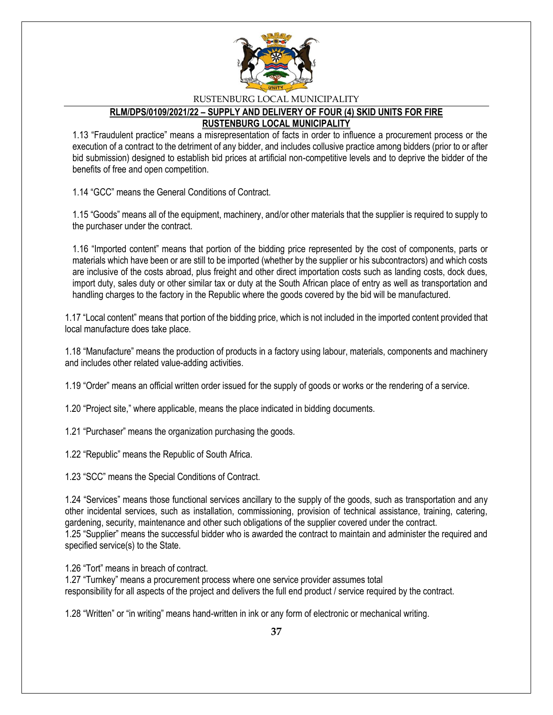

#### **RLM/DPS/0109/2021/22 – SUPPLY AND DELIVERY OF FOUR (4) SKID UNITS FOR FIRE RUSTENBURG LOCAL MUNICIPALITY**

1.13 "Fraudulent practice" means a misrepresentation of facts in order to influence a procurement process or the execution of a contract to the detriment of any bidder, and includes collusive practice among bidders (prior to or after bid submission) designed to establish bid prices at artificial non-competitive levels and to deprive the bidder of the benefits of free and open competition.

1.14 "GCC" means the General Conditions of Contract.

1.15 "Goods" means all of the equipment, machinery, and/or other materials that the supplier is required to supply to the purchaser under the contract.

1.16 "Imported content" means that portion of the bidding price represented by the cost of components, parts or materials which have been or are still to be imported (whether by the supplier or his subcontractors) and which costs are inclusive of the costs abroad, plus freight and other direct importation costs such as landing costs, dock dues, import duty, sales duty or other similar tax or duty at the South African place of entry as well as transportation and handling charges to the factory in the Republic where the goods covered by the bid will be manufactured.

1.17 "Local content" means that portion of the bidding price, which is not included in the imported content provided that local manufacture does take place.

1.18 "Manufacture" means the production of products in a factory using labour, materials, components and machinery and includes other related value-adding activities.

1.19 "Order" means an official written order issued for the supply of goods or works or the rendering of a service.

1.20 "Project site," where applicable, means the place indicated in bidding documents.

1.21 "Purchaser" means the organization purchasing the goods.

1.22 "Republic" means the Republic of South Africa.

1.23 "SCC" means the Special Conditions of Contract.

1.24 "Services" means those functional services ancillary to the supply of the goods, such as transportation and any other incidental services, such as installation, commissioning, provision of technical assistance, training, catering, gardening, security, maintenance and other such obligations of the supplier covered under the contract. 1.25 "Supplier" means the successful bidder who is awarded the contract to maintain and administer the required and specified service(s) to the State.

1.26 "Tort" means in breach of contract.

1.27 "Turnkey" means a procurement process where one service provider assumes total responsibility for all aspects of the project and delivers the full end product / service required by the contract.

1.28 "Written" or "in writing" means hand-written in ink or any form of electronic or mechanical writing.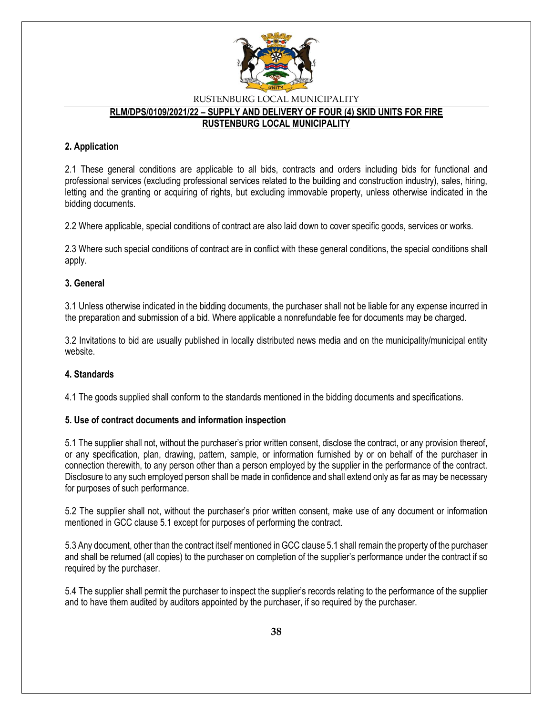

## RUSTENBURG LOCAL MUNICIPALITY **RLM/DPS/0109/2021/22 – SUPPLY AND DELIVERY OF FOUR (4) SKID UNITS FOR FIRE RUSTENBURG LOCAL MUNICIPALITY**

### **2. Application**

2.1 These general conditions are applicable to all bids, contracts and orders including bids for functional and professional services (excluding professional services related to the building and construction industry), sales, hiring, letting and the granting or acquiring of rights, but excluding immovable property, unless otherwise indicated in the bidding documents.

2.2 Where applicable, special conditions of contract are also laid down to cover specific goods, services or works.

2.3 Where such special conditions of contract are in conflict with these general conditions, the special conditions shall apply.

#### **3. General**

3.1 Unless otherwise indicated in the bidding documents, the purchaser shall not be liable for any expense incurred in the preparation and submission of a bid. Where applicable a nonrefundable fee for documents may be charged.

3.2 Invitations to bid are usually published in locally distributed news media and on the municipality/municipal entity website.

#### **4. Standards**

4.1 The goods supplied shall conform to the standards mentioned in the bidding documents and specifications.

#### **5. Use of contract documents and information inspection**

5.1 The supplier shall not, without the purchaser's prior written consent, disclose the contract, or any provision thereof, or any specification, plan, drawing, pattern, sample, or information furnished by or on behalf of the purchaser in connection therewith, to any person other than a person employed by the supplier in the performance of the contract. Disclosure to any such employed person shall be made in confidence and shall extend only as far as may be necessary for purposes of such performance.

5.2 The supplier shall not, without the purchaser's prior written consent, make use of any document or information mentioned in GCC clause 5.1 except for purposes of performing the contract.

5.3 Any document, other than the contract itself mentioned in GCC clause 5.1 shall remain the property of the purchaser and shall be returned (all copies) to the purchaser on completion of the supplier's performance under the contract if so required by the purchaser.

5.4 The supplier shall permit the purchaser to inspect the supplier's records relating to the performance of the supplier and to have them audited by auditors appointed by the purchaser, if so required by the purchaser.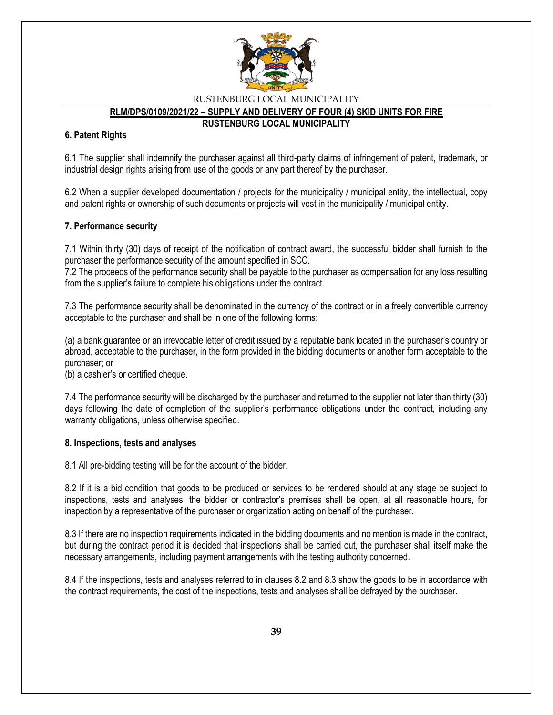

# **RLM/DPS/0109/2021/22 – SUPPLY AND DELIVERY OF FOUR (4) SKID UNITS FOR FIRE**

**RUSTENBURG LOCAL MUNICIPALITY**

#### **6. Patent Rights**

6.1 The supplier shall indemnify the purchaser against all third-party claims of infringement of patent, trademark, or industrial design rights arising from use of the goods or any part thereof by the purchaser.

6.2 When a supplier developed documentation / projects for the municipality / municipal entity, the intellectual, copy and patent rights or ownership of such documents or projects will vest in the municipality / municipal entity.

#### **7. Performance security**

7.1 Within thirty (30) days of receipt of the notification of contract award, the successful bidder shall furnish to the purchaser the performance security of the amount specified in SCC.

7.2 The proceeds of the performance security shall be payable to the purchaser as compensation for any loss resulting from the supplier's failure to complete his obligations under the contract.

7.3 The performance security shall be denominated in the currency of the contract or in a freely convertible currency acceptable to the purchaser and shall be in one of the following forms:

(a) a bank guarantee or an irrevocable letter of credit issued by a reputable bank located in the purchaser's country or abroad, acceptable to the purchaser, in the form provided in the bidding documents or another form acceptable to the purchaser; or

(b) a cashier's or certified cheque.

7.4 The performance security will be discharged by the purchaser and returned to the supplier not later than thirty (30) days following the date of completion of the supplier's performance obligations under the contract, including any warranty obligations, unless otherwise specified.

#### **8. Inspections, tests and analyses**

8.1 All pre-bidding testing will be for the account of the bidder.

8.2 If it is a bid condition that goods to be produced or services to be rendered should at any stage be subject to inspections, tests and analyses, the bidder or contractor's premises shall be open, at all reasonable hours, for inspection by a representative of the purchaser or organization acting on behalf of the purchaser.

8.3 If there are no inspection requirements indicated in the bidding documents and no mention is made in the contract, but during the contract period it is decided that inspections shall be carried out, the purchaser shall itself make the necessary arrangements, including payment arrangements with the testing authority concerned.

8.4 If the inspections, tests and analyses referred to in clauses 8.2 and 8.3 show the goods to be in accordance with the contract requirements, the cost of the inspections, tests and analyses shall be defrayed by the purchaser.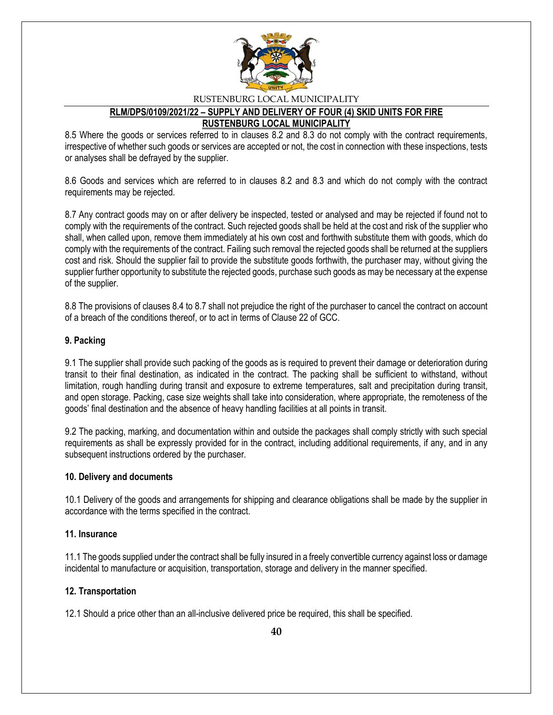

## **RLM/DPS/0109/2021/22 – SUPPLY AND DELIVERY OF FOUR (4) SKID UNITS FOR FIRE RUSTENBURG LOCAL MUNICIPALITY**

8.5 Where the goods or services referred to in clauses 8.2 and 8.3 do not comply with the contract requirements, irrespective of whether such goods or services are accepted or not, the cost in connection with these inspections, tests or analyses shall be defrayed by the supplier.

8.6 Goods and services which are referred to in clauses 8.2 and 8.3 and which do not comply with the contract requirements may be rejected.

8.7 Any contract goods may on or after delivery be inspected, tested or analysed and may be rejected if found not to comply with the requirements of the contract. Such rejected goods shall be held at the cost and risk of the supplier who shall, when called upon, remove them immediately at his own cost and forthwith substitute them with goods, which do comply with the requirements of the contract. Failing such removal the rejected goods shall be returned at the suppliers cost and risk. Should the supplier fail to provide the substitute goods forthwith, the purchaser may, without giving the supplier further opportunity to substitute the rejected goods, purchase such goods as may be necessary at the expense of the supplier.

8.8 The provisions of clauses 8.4 to 8.7 shall not prejudice the right of the purchaser to cancel the contract on account of a breach of the conditions thereof, or to act in terms of Clause 22 of GCC.

#### **9. Packing**

9.1 The supplier shall provide such packing of the goods as is required to prevent their damage or deterioration during transit to their final destination, as indicated in the contract. The packing shall be sufficient to withstand, without limitation, rough handling during transit and exposure to extreme temperatures, salt and precipitation during transit, and open storage. Packing, case size weights shall take into consideration, where appropriate, the remoteness of the goods' final destination and the absence of heavy handling facilities at all points in transit.

9.2 The packing, marking, and documentation within and outside the packages shall comply strictly with such special requirements as shall be expressly provided for in the contract, including additional requirements, if any, and in any subsequent instructions ordered by the purchaser.

#### **10. Delivery and documents**

10.1 Delivery of the goods and arrangements for shipping and clearance obligations shall be made by the supplier in accordance with the terms specified in the contract.

#### **11. Insurance**

11.1 The goods supplied under the contract shall be fully insured in a freely convertible currency against loss or damage incidental to manufacture or acquisition, transportation, storage and delivery in the manner specified.

#### **12. Transportation**

12.1 Should a price other than an all-inclusive delivered price be required, this shall be specified.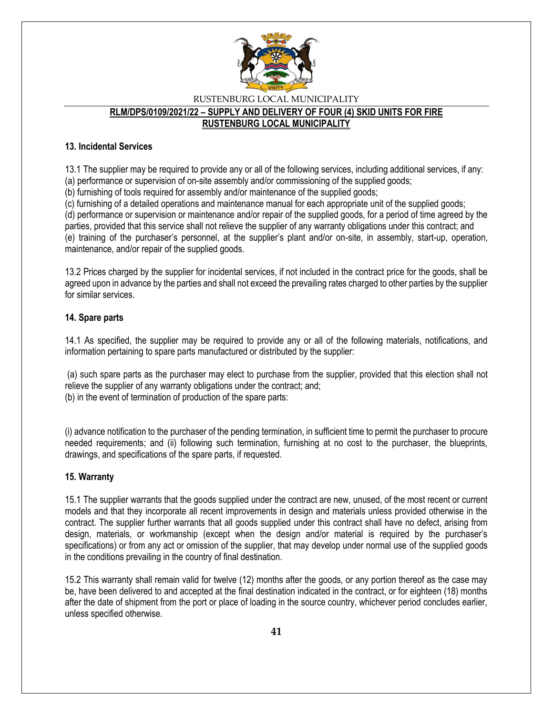

#### RUSTENBURG LOCAL MUNICIPALITY **RLM/DPS/0109/2021/22 – SUPPLY AND DELIVERY OF FOUR (4) SKID UNITS FOR FIRE RUSTENBURG LOCAL MUNICIPALITY**

#### **13. Incidental Services**

13.1 The supplier may be required to provide any or all of the following services, including additional services, if any:

(a) performance or supervision of on-site assembly and/or commissioning of the supplied goods;

(b) furnishing of tools required for assembly and/or maintenance of the supplied goods;

(c) furnishing of a detailed operations and maintenance manual for each appropriate unit of the supplied goods; (d) performance or supervision or maintenance and/or repair of the supplied goods, for a period of time agreed by the parties, provided that this service shall not relieve the supplier of any warranty obligations under this contract; and

(e) training of the purchaser's personnel, at the supplier's plant and/or on-site, in assembly, start-up, operation, maintenance, and/or repair of the supplied goods.

13.2 Prices charged by the supplier for incidental services, if not included in the contract price for the goods, shall be agreed upon in advance by the parties and shall not exceed the prevailing rates charged to other parties by the supplier for similar services.

#### **14. Spare parts**

14.1 As specified, the supplier may be required to provide any or all of the following materials, notifications, and information pertaining to spare parts manufactured or distributed by the supplier:

(a) such spare parts as the purchaser may elect to purchase from the supplier, provided that this election shall not relieve the supplier of any warranty obligations under the contract; and; (b) in the event of termination of production of the spare parts:

(i) advance notification to the purchaser of the pending termination, in sufficient time to permit the purchaser to procure needed requirements; and (ii) following such termination, furnishing at no cost to the purchaser, the blueprints, drawings, and specifications of the spare parts, if requested.

### **15. Warranty**

15.1 The supplier warrants that the goods supplied under the contract are new, unused, of the most recent or current models and that they incorporate all recent improvements in design and materials unless provided otherwise in the contract. The supplier further warrants that all goods supplied under this contract shall have no defect, arising from design, materials, or workmanship (except when the design and/or material is required by the purchaser's specifications) or from any act or omission of the supplier, that may develop under normal use of the supplied goods in the conditions prevailing in the country of final destination.

15.2 This warranty shall remain valid for twelve (12) months after the goods, or any portion thereof as the case may be, have been delivered to and accepted at the final destination indicated in the contract, or for eighteen (18) months after the date of shipment from the port or place of loading in the source country, whichever period concludes earlier, unless specified otherwise.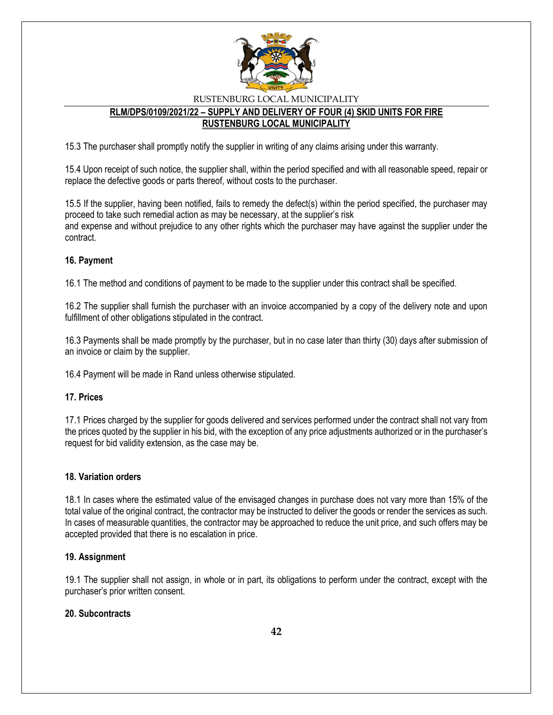

## **RLM/DPS/0109/2021/22 – SUPPLY AND DELIVERY OF FOUR (4) SKID UNITS FOR FIRE RUSTENBURG LOCAL MUNICIPALITY**

15.3 The purchaser shall promptly notify the supplier in writing of any claims arising under this warranty.

15.4 Upon receipt of such notice, the supplier shall, within the period specified and with all reasonable speed, repair or replace the defective goods or parts thereof, without costs to the purchaser.

15.5 If the supplier, having been notified, fails to remedy the defect(s) within the period specified, the purchaser may proceed to take such remedial action as may be necessary, at the supplier's risk and expense and without prejudice to any other rights which the purchaser may have against the supplier under the contract.

#### **16. Payment**

16.1 The method and conditions of payment to be made to the supplier under this contract shall be specified.

16.2 The supplier shall furnish the purchaser with an invoice accompanied by a copy of the delivery note and upon fulfillment of other obligations stipulated in the contract.

16.3 Payments shall be made promptly by the purchaser, but in no case later than thirty (30) days after submission of an invoice or claim by the supplier.

16.4 Payment will be made in Rand unless otherwise stipulated.

#### **17. Prices**

17.1 Prices charged by the supplier for goods delivered and services performed under the contract shall not vary from the prices quoted by the supplier in his bid, with the exception of any price adjustments authorized or in the purchaser's request for bid validity extension, as the case may be.

#### **18. Variation orders**

18.1 In cases where the estimated value of the envisaged changes in purchase does not vary more than 15% of the total value of the original contract, the contractor may be instructed to deliver the goods or render the services as such. In cases of measurable quantities, the contractor may be approached to reduce the unit price, and such offers may be accepted provided that there is no escalation in price.

#### **19. Assignment**

19.1 The supplier shall not assign, in whole or in part, its obligations to perform under the contract, except with the purchaser's prior written consent.

### **20. Subcontracts**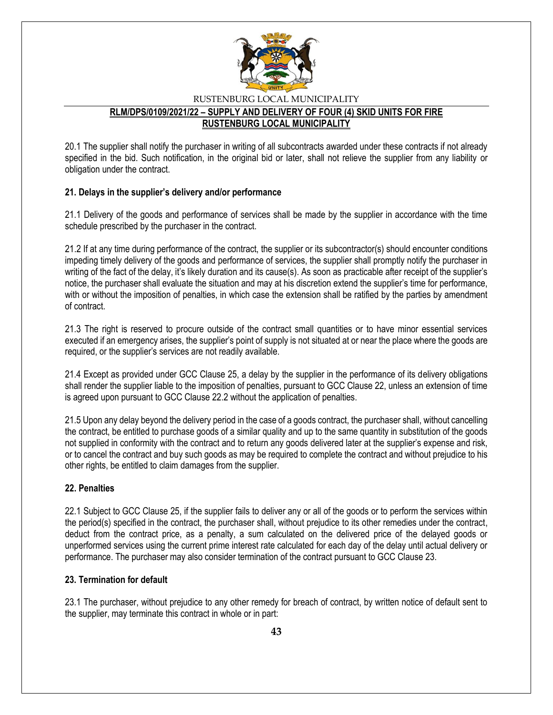

### **RLM/DPS/0109/2021/22 – SUPPLY AND DELIVERY OF FOUR (4) SKID UNITS FOR FIRE RUSTENBURG LOCAL MUNICIPALITY**

20.1 The supplier shall notify the purchaser in writing of all subcontracts awarded under these contracts if not already specified in the bid. Such notification, in the original bid or later, shall not relieve the supplier from any liability or obligation under the contract.

### **21. Delays in the supplier's delivery and/or performance**

21.1 Delivery of the goods and performance of services shall be made by the supplier in accordance with the time schedule prescribed by the purchaser in the contract.

21.2 If at any time during performance of the contract, the supplier or its subcontractor(s) should encounter conditions impeding timely delivery of the goods and performance of services, the supplier shall promptly notify the purchaser in writing of the fact of the delay, it's likely duration and its cause(s). As soon as practicable after receipt of the supplier's notice, the purchaser shall evaluate the situation and may at his discretion extend the supplier's time for performance, with or without the imposition of penalties, in which case the extension shall be ratified by the parties by amendment of contract.

21.3 The right is reserved to procure outside of the contract small quantities or to have minor essential services executed if an emergency arises, the supplier's point of supply is not situated at or near the place where the goods are required, or the supplier's services are not readily available.

21.4 Except as provided under GCC Clause 25, a delay by the supplier in the performance of its delivery obligations shall render the supplier liable to the imposition of penalties, pursuant to GCC Clause 22, unless an extension of time is agreed upon pursuant to GCC Clause 22.2 without the application of penalties.

21.5 Upon any delay beyond the delivery period in the case of a goods contract, the purchaser shall, without cancelling the contract, be entitled to purchase goods of a similar quality and up to the same quantity in substitution of the goods not supplied in conformity with the contract and to return any goods delivered later at the supplier's expense and risk, or to cancel the contract and buy such goods as may be required to complete the contract and without prejudice to his other rights, be entitled to claim damages from the supplier.

## **22. Penalties**

22.1 Subject to GCC Clause 25, if the supplier fails to deliver any or all of the goods or to perform the services within the period(s) specified in the contract, the purchaser shall, without prejudice to its other remedies under the contract, deduct from the contract price, as a penalty, a sum calculated on the delivered price of the delayed goods or unperformed services using the current prime interest rate calculated for each day of the delay until actual delivery or performance. The purchaser may also consider termination of the contract pursuant to GCC Clause 23.

### **23. Termination for default**

23.1 The purchaser, without prejudice to any other remedy for breach of contract, by written notice of default sent to the supplier, may terminate this contract in whole or in part: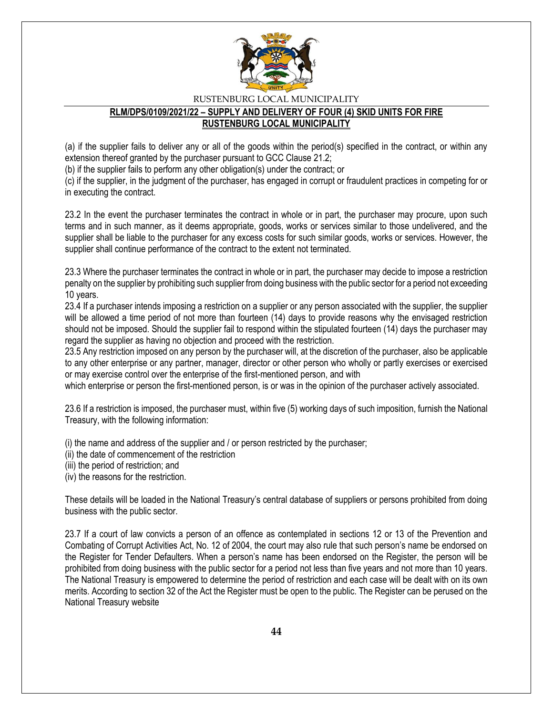

#### **RLM/DPS/0109/2021/22 – SUPPLY AND DELIVERY OF FOUR (4) SKID UNITS FOR FIRE RUSTENBURG LOCAL MUNICIPALITY**

(a) if the supplier fails to deliver any or all of the goods within the period(s) specified in the contract, or within any extension thereof granted by the purchaser pursuant to GCC Clause 21.2;

(b) if the supplier fails to perform any other obligation(s) under the contract; or

(c) if the supplier, in the judgment of the purchaser, has engaged in corrupt or fraudulent practices in competing for or in executing the contract.

23.2 In the event the purchaser terminates the contract in whole or in part, the purchaser may procure, upon such terms and in such manner, as it deems appropriate, goods, works or services similar to those undelivered, and the supplier shall be liable to the purchaser for any excess costs for such similar goods, works or services. However, the supplier shall continue performance of the contract to the extent not terminated.

23.3 Where the purchaser terminates the contract in whole or in part, the purchaser may decide to impose a restriction penalty on the supplier by prohibiting such supplier from doing business with the public sector for a period not exceeding 10 years.

23.4 If a purchaser intends imposing a restriction on a supplier or any person associated with the supplier, the supplier will be allowed a time period of not more than fourteen (14) days to provide reasons why the envisaged restriction should not be imposed. Should the supplier fail to respond within the stipulated fourteen (14) days the purchaser may regard the supplier as having no objection and proceed with the restriction.

23.5 Any restriction imposed on any person by the purchaser will, at the discretion of the purchaser, also be applicable to any other enterprise or any partner, manager, director or other person who wholly or partly exercises or exercised or may exercise control over the enterprise of the first-mentioned person, and with

which enterprise or person the first-mentioned person, is or was in the opinion of the purchaser actively associated.

23.6 If a restriction is imposed, the purchaser must, within five (5) working days of such imposition, furnish the National Treasury, with the following information:

(i) the name and address of the supplier and / or person restricted by the purchaser;

(ii) the date of commencement of the restriction

(iii) the period of restriction; and

(iv) the reasons for the restriction.

These details will be loaded in the National Treasury's central database of suppliers or persons prohibited from doing business with the public sector.

23.7 If a court of law convicts a person of an offence as contemplated in sections 12 or 13 of the Prevention and Combating of Corrupt Activities Act, No. 12 of 2004, the court may also rule that such person's name be endorsed on the Register for Tender Defaulters. When a person's name has been endorsed on the Register, the person will be prohibited from doing business with the public sector for a period not less than five years and not more than 10 years. The National Treasury is empowered to determine the period of restriction and each case will be dealt with on its own merits. According to section 32 of the Act the Register must be open to the public. The Register can be perused on the National Treasury website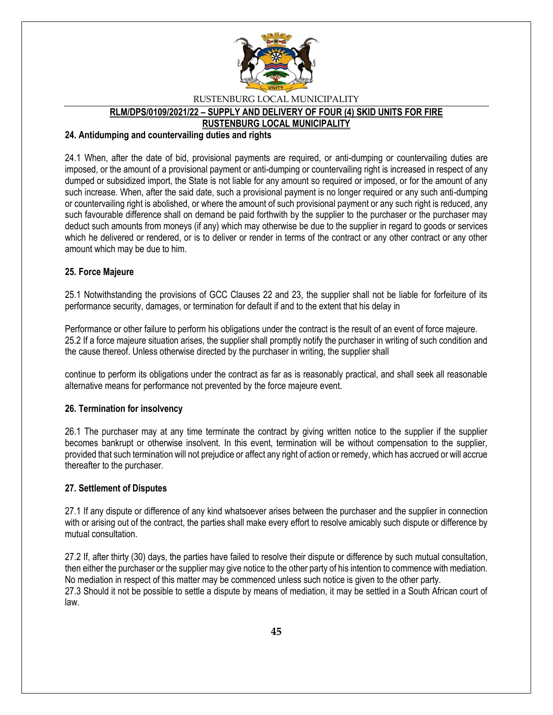

**RLM/DPS/0109/2021/22 – SUPPLY AND DELIVERY OF FOUR (4) SKID UNITS FOR FIRE** 

**RUSTENBURG LOCAL MUNICIPALITY**

#### **24. Antidumping and countervailing duties and rights**

24.1 When, after the date of bid, provisional payments are required, or anti-dumping or countervailing duties are imposed, or the amount of a provisional payment or anti-dumping or countervailing right is increased in respect of any dumped or subsidized import, the State is not liable for any amount so required or imposed, or for the amount of any such increase. When, after the said date, such a provisional payment is no longer required or any such anti-dumping or countervailing right is abolished, or where the amount of such provisional payment or any such right is reduced, any such favourable difference shall on demand be paid forthwith by the supplier to the purchaser or the purchaser may deduct such amounts from moneys (if any) which may otherwise be due to the supplier in regard to goods or services which he delivered or rendered, or is to deliver or render in terms of the contract or any other contract or any other amount which may be due to him.

#### **25. Force Majeure**

25.1 Notwithstanding the provisions of GCC Clauses 22 and 23, the supplier shall not be liable for forfeiture of its performance security, damages, or termination for default if and to the extent that his delay in

Performance or other failure to perform his obligations under the contract is the result of an event of force majeure. 25.2 If a force majeure situation arises, the supplier shall promptly notify the purchaser in writing of such condition and the cause thereof. Unless otherwise directed by the purchaser in writing, the supplier shall

continue to perform its obligations under the contract as far as is reasonably practical, and shall seek all reasonable alternative means for performance not prevented by the force majeure event.

#### **26. Termination for insolvency**

26.1 The purchaser may at any time terminate the contract by giving written notice to the supplier if the supplier becomes bankrupt or otherwise insolvent. In this event, termination will be without compensation to the supplier, provided that such termination will not prejudice or affect any right of action or remedy, which has accrued or will accrue thereafter to the purchaser.

#### **27. Settlement of Disputes**

27.1 If any dispute or difference of any kind whatsoever arises between the purchaser and the supplier in connection with or arising out of the contract, the parties shall make every effort to resolve amicably such dispute or difference by mutual consultation.

27.2 If, after thirty (30) days, the parties have failed to resolve their dispute or difference by such mutual consultation, then either the purchaser or the supplier may give notice to the other party of his intention to commence with mediation. No mediation in respect of this matter may be commenced unless such notice is given to the other party. 27.3 Should it not be possible to settle a dispute by means of mediation, it may be settled in a South African court of law.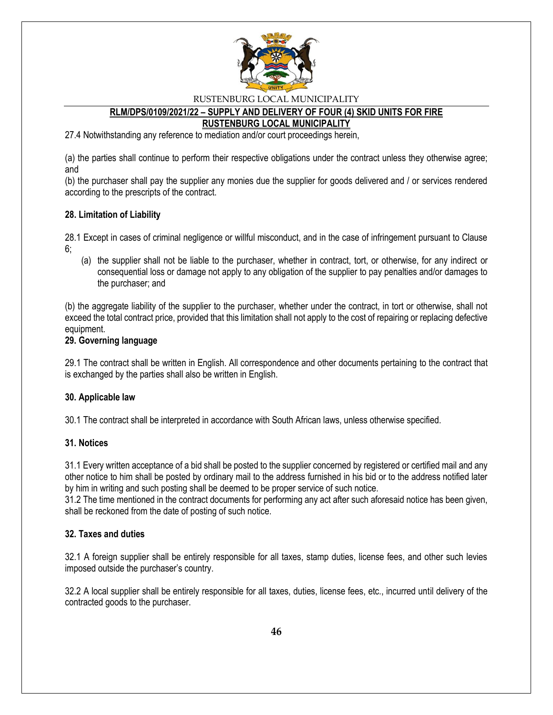

# **RLM/DPS/0109/2021/22 – SUPPLY AND DELIVERY OF FOUR (4) SKID UNITS FOR FIRE**

**RUSTENBURG LOCAL MUNICIPALITY**

27.4 Notwithstanding any reference to mediation and/or court proceedings herein,

(a) the parties shall continue to perform their respective obligations under the contract unless they otherwise agree; and

(b) the purchaser shall pay the supplier any monies due the supplier for goods delivered and / or services rendered according to the prescripts of the contract.

#### **28. Limitation of Liability**

28.1 Except in cases of criminal negligence or willful misconduct, and in the case of infringement pursuant to Clause 6;

(a) the supplier shall not be liable to the purchaser, whether in contract, tort, or otherwise, for any indirect or consequential loss or damage not apply to any obligation of the supplier to pay penalties and/or damages to the purchaser; and

(b) the aggregate liability of the supplier to the purchaser, whether under the contract, in tort or otherwise, shall not exceed the total contract price, provided that this limitation shall not apply to the cost of repairing or replacing defective equipment.

#### **29. Governing language**

29.1 The contract shall be written in English. All correspondence and other documents pertaining to the contract that is exchanged by the parties shall also be written in English.

#### **30. Applicable law**

30.1 The contract shall be interpreted in accordance with South African laws, unless otherwise specified.

#### **31. Notices**

31.1 Every written acceptance of a bid shall be posted to the supplier concerned by registered or certified mail and any other notice to him shall be posted by ordinary mail to the address furnished in his bid or to the address notified later by him in writing and such posting shall be deemed to be proper service of such notice.

31.2 The time mentioned in the contract documents for performing any act after such aforesaid notice has been given, shall be reckoned from the date of posting of such notice.

#### **32. Taxes and duties**

32.1 A foreign supplier shall be entirely responsible for all taxes, stamp duties, license fees, and other such levies imposed outside the purchaser's country.

32.2 A local supplier shall be entirely responsible for all taxes, duties, license fees, etc., incurred until delivery of the contracted goods to the purchaser.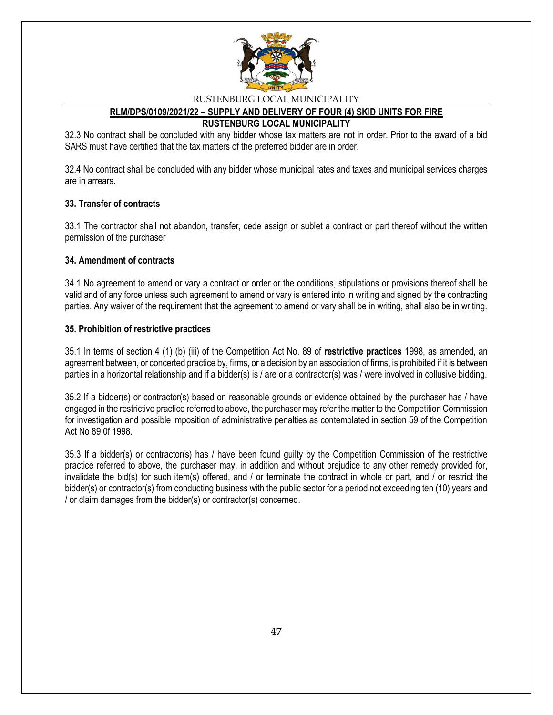

#### **RLM/DPS/0109/2021/22 – SUPPLY AND DELIVERY OF FOUR (4) SKID UNITS FOR FIRE RUSTENBURG LOCAL MUNICIPALITY**

32.3 No contract shall be concluded with any bidder whose tax matters are not in order. Prior to the award of a bid SARS must have certified that the tax matters of the preferred bidder are in order.

32.4 No contract shall be concluded with any bidder whose municipal rates and taxes and municipal services charges are in arrears.

### **33. Transfer of contracts**

33.1 The contractor shall not abandon, transfer, cede assign or sublet a contract or part thereof without the written permission of the purchaser

#### **34. Amendment of contracts**

34.1 No agreement to amend or vary a contract or order or the conditions, stipulations or provisions thereof shall be valid and of any force unless such agreement to amend or vary is entered into in writing and signed by the contracting parties. Any waiver of the requirement that the agreement to amend or vary shall be in writing, shall also be in writing.

#### **35. Prohibition of restrictive practices**

35.1 In terms of section 4 (1) (b) (iii) of the Competition Act No. 89 of **restrictive practices** 1998, as amended, an agreement between, or concerted practice by, firms, or a decision by an association of firms, is prohibited if it is between parties in a horizontal relationship and if a bidder(s) is / are or a contractor(s) was / were involved in collusive bidding.

35.2 If a bidder(s) or contractor(s) based on reasonable grounds or evidence obtained by the purchaser has / have engaged in the restrictive practice referred to above, the purchaser may refer the matter to the Competition Commission for investigation and possible imposition of administrative penalties as contemplated in section 59 of the Competition Act No 89 0f 1998.

35.3 If a bidder(s) or contractor(s) has / have been found guilty by the Competition Commission of the restrictive practice referred to above, the purchaser may, in addition and without prejudice to any other remedy provided for, invalidate the bid(s) for such item(s) offered, and / or terminate the contract in whole or part, and / or restrict the bidder(s) or contractor(s) from conducting business with the public sector for a period not exceeding ten (10) years and / or claim damages from the bidder(s) or contractor(s) concerned.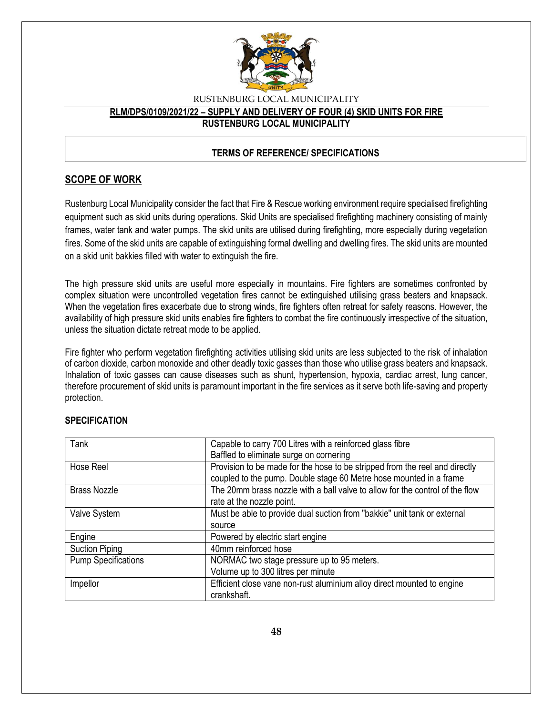

## RUSTENBURG LOCAL MUNICIPALITY **RLM/DPS/0109/2021/22 – SUPPLY AND DELIVERY OF FOUR (4) SKID UNITS FOR FIRE RUSTENBURG LOCAL MUNICIPALITY**

## **TERMS OF REFERENCE/ SPECIFICATIONS**

## **SCOPE OF WORK**

Rustenburg Local Municipality consider the fact that Fire & Rescue working environment require specialised firefighting equipment such as skid units during operations. Skid Units are specialised firefighting machinery consisting of mainly frames, water tank and water pumps. The skid units are utilised during firefighting, more especially during vegetation fires. Some of the skid units are capable of extinguishing formal dwelling and dwelling fires. The skid units are mounted on a skid unit bakkies filled with water to extinguish the fire.

The high pressure skid units are useful more especially in mountains. Fire fighters are sometimes confronted by complex situation were uncontrolled vegetation fires cannot be extinguished utilising grass beaters and knapsack. When the vegetation fires exacerbate due to strong winds, fire fighters often retreat for safety reasons. However, the availability of high pressure skid units enables fire fighters to combat the fire continuously irrespective of the situation, unless the situation dictate retreat mode to be applied.

Fire fighter who perform vegetation firefighting activities utilising skid units are less subjected to the risk of inhalation of carbon dioxide, carbon monoxide and other deadly toxic gasses than those who utilise grass beaters and knapsack. Inhalation of toxic gasses can cause diseases such as shunt, hypertension, hypoxia, cardiac arrest, lung cancer, therefore procurement of skid units is paramount important in the fire services as it serve both life-saving and property protection.

| Tank                       | Capable to carry 700 Litres with a reinforced glass fibre<br>Baffled to eliminate surge on cornering                                              |
|----------------------------|---------------------------------------------------------------------------------------------------------------------------------------------------|
| Hose Reel                  | Provision to be made for the hose to be stripped from the reel and directly<br>coupled to the pump. Double stage 60 Metre hose mounted in a frame |
| <b>Brass Nozzle</b>        | The 20mm brass nozzle with a ball valve to allow for the control of the flow<br>rate at the nozzle point.                                         |
| Valve System               | Must be able to provide dual suction from "bakkie" unit tank or external                                                                          |
|                            | source                                                                                                                                            |
| Engine                     | Powered by electric start engine                                                                                                                  |
| <b>Suction Piping</b>      | 40mm reinforced hose                                                                                                                              |
| <b>Pump Specifications</b> | NORMAC two stage pressure up to 95 meters.                                                                                                        |
|                            | Volume up to 300 litres per minute                                                                                                                |
| Impellor                   | Efficient close vane non-rust aluminium alloy direct mounted to engine                                                                            |
|                            | crankshaft.                                                                                                                                       |

### **SPECIFICATION**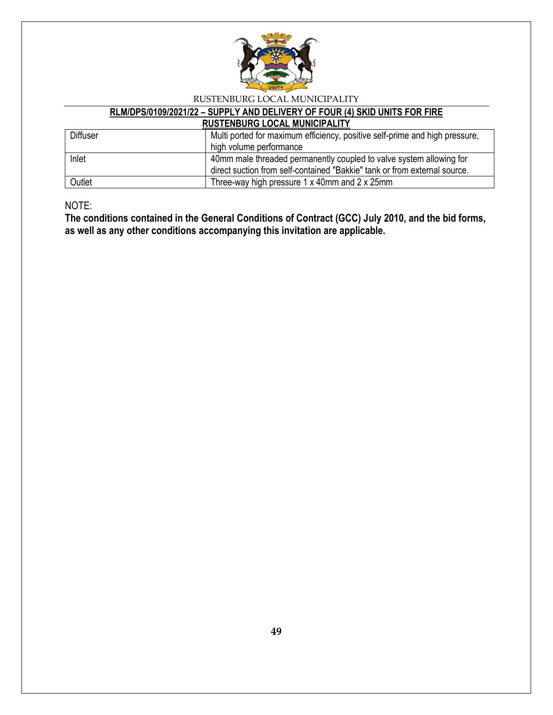

# **RLM/DPS/0109/2021/22 – SUPPLY AND DELIVERY OF FOUR (4) SKID UNITS FOR FIRE**

# **RUSTENBURG LOCAL MUNICIPALITY**

| <b>Diffuser</b> | Multi ported for maximum efficiency, positive self-prime and high pressure, |
|-----------------|-----------------------------------------------------------------------------|
|                 | high volume performance                                                     |
| Inlet           | 40mm male threaded permanently coupled to valve system allowing for         |
|                 | direct suction from self-contained "Bakkie" tank or from external source.   |
| Outlet          | Three-way high pressure 1 x 40mm and 2 x 25mm                               |

NOTE:

**The conditions contained in the General Conditions of Contract (GCC) July 2010, and the bid forms, as well as any other conditions accompanying this invitation are applicable.**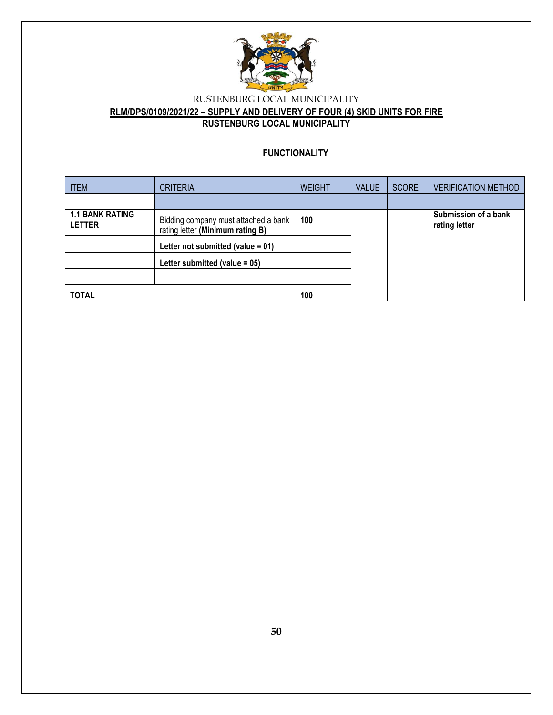

## **RLM/DPS/0109/2021/22 – SUPPLY AND DELIVERY OF FOUR (4) SKID UNITS FOR FIRE RUSTENBURG LOCAL MUNICIPALITY**

## **FUNCTIONALITY**

| <b>ITEM</b>                             | <b>CRITERIA</b>                                                          | <b>WEIGHT</b> | <b>VALUE</b> | <b>SCORE</b> | <b>VERIFICATION METHOD</b>            |
|-----------------------------------------|--------------------------------------------------------------------------|---------------|--------------|--------------|---------------------------------------|
|                                         |                                                                          |               |              |              |                                       |
| <b>1.1 BANK RATING</b><br><b>LETTER</b> | Bidding company must attached a bank<br>rating letter (Minimum rating B) | 100           |              |              | Submission of a bank<br>rating letter |
|                                         | Letter not submitted (value $= 01$ )                                     |               |              |              |                                       |
|                                         | Letter submitted (value $= 05$ )                                         |               |              |              |                                       |
|                                         |                                                                          |               |              |              |                                       |
| <b>TOTAL</b>                            |                                                                          | 100           |              |              |                                       |